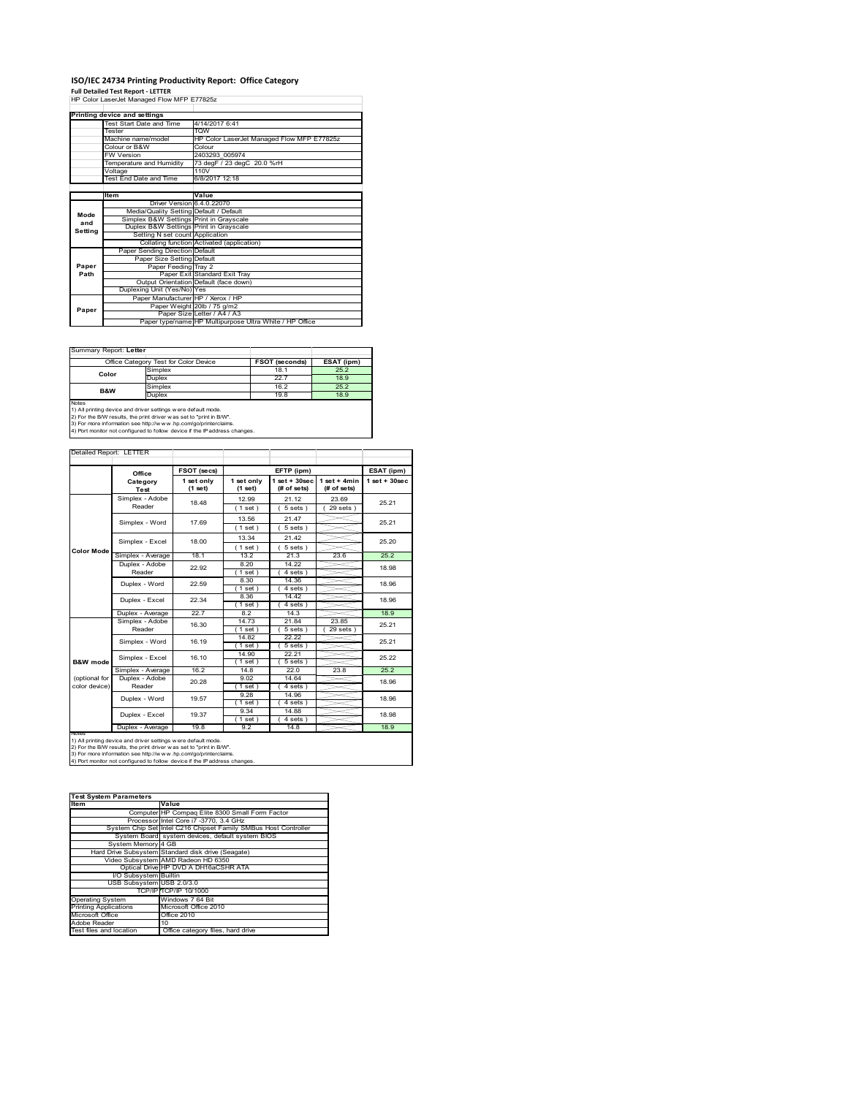# **ISO/IEC 24734 Printing Productivity Report: Office Category Full Detailed Test Report ‐ LETTER** HP Color LaserJet Managed Flow MFP E77825z

|         | Printing device and settings            |                                                         |  |  |
|---------|-----------------------------------------|---------------------------------------------------------|--|--|
|         | Test Start Date and Time                | 4/14/2017 6:41                                          |  |  |
|         | Tester                                  | <b>TOW</b>                                              |  |  |
|         | Machine name/model                      | HP Color LaserJet Managed Flow MFP E77825z              |  |  |
|         | Colour or B&W                           | Colour                                                  |  |  |
|         | <b>FW Version</b>                       | 2403293 005974                                          |  |  |
|         | Temperature and Humidity                | 73 degF / 23 degC 20.0 %rH                              |  |  |
|         | Voltage                                 | 110V                                                    |  |  |
|         | <b>Test End Date and Time</b>           | 6/8/2017 12:18                                          |  |  |
|         |                                         |                                                         |  |  |
|         | <b>Item</b>                             | Value                                                   |  |  |
|         | Driver Version 6.4.0.22070              |                                                         |  |  |
| Mode    | Media/Quality Setting Default / Default |                                                         |  |  |
| and     | Simplex B&W Settings Print in Grayscale |                                                         |  |  |
| Setting | Duplex B&W Settings Print in Grayscale  |                                                         |  |  |
|         | Setting N set count Application         |                                                         |  |  |
|         |                                         | Collating function Activated (application)              |  |  |
|         | Paper Sending Direction Default         |                                                         |  |  |
|         | Paper Size Setting Default              |                                                         |  |  |
| Paper   | Paper Feeding Tray 2                    |                                                         |  |  |
| Path    |                                         | Paper Exit Standard Exit Tray                           |  |  |
|         |                                         | Output Orientation Default (face down)                  |  |  |
|         | Duplexing Unit (Yes/No) Yes             |                                                         |  |  |
|         | Paper Manufacturer HP / Xerox / HP      |                                                         |  |  |
| Paper   |                                         | Paper Weight 20lb / 75 g/m2                             |  |  |
|         |                                         | Paper Size Letter / A4 / A3                             |  |  |
|         |                                         | Paper type/name HP Multipurpose Ultra White / HP Office |  |  |

h

#### Summary Report: **Letter**

|                | Office Category Test for Color Device | FSOT (seconds) | ESAT (ipm) |
|----------------|---------------------------------------|----------------|------------|
|                | Simplex                               | 18.1           | 25.2       |
| Color          | <b>Duplex</b>                         | 22.7           | 18.9       |
| <b>B&amp;W</b> | Simplex                               | 16.2           | 25.2       |
|                | Duplex                                | 19.8           | 18.9       |
| Notes          |                                       |                |            |

Notes<br>1) All printing device and driver settings were default mode.<br>2) For the B/W results, the print driver was set to "print in B/W".<br>3) For more information see http://www.hp.com/go/printerclaims.<br>4) Por more informatio

Detailed Report: LETTER

|                                                                                                                                                                                                                                                                                                        | Office                    | FSOT (secs)           |                         | EFTP (ipm)                     |                               | ESAT (ipm)      |
|--------------------------------------------------------------------------------------------------------------------------------------------------------------------------------------------------------------------------------------------------------------------------------------------------------|---------------------------|-----------------------|-------------------------|--------------------------------|-------------------------------|-----------------|
|                                                                                                                                                                                                                                                                                                        | Category<br>Test          | 1 set only<br>(1 set) | 1 set only<br>$(1$ set) | $1$ set + 30sec<br>(# of sets) | $1$ set + 4min<br>(# of sets) | $1$ set + 30sec |
|                                                                                                                                                                                                                                                                                                        | Simplex - Adobe<br>Reader | 18.48                 | 12.99<br>$1$ set)       | 21.12<br>5 sets 1              | 23.69<br>$29$ sets $)$        | 25.21           |
|                                                                                                                                                                                                                                                                                                        |                           |                       |                         |                                |                               |                 |
|                                                                                                                                                                                                                                                                                                        | Simplex - Word            | 17.69                 | 13.56<br>(1 set)        | 21.47<br>$5 sets$ )            |                               | 25.21           |
|                                                                                                                                                                                                                                                                                                        |                           |                       | 13.34                   | 21.42                          |                               |                 |
| <b>Color Mode</b>                                                                                                                                                                                                                                                                                      | Simplex - Excel           | 18.00                 | $1$ set)                | 5 sets                         |                               | 25.20           |
|                                                                                                                                                                                                                                                                                                        | Simplex - Average         | 18.1                  | 13.2                    | 21.3                           | 23.6                          | 25.2            |
|                                                                                                                                                                                                                                                                                                        | Duplex - Adobe<br>Reader  | 22.92                 | 8.20<br>$1$ set)        | 14.22<br>4 sets                |                               | 18.98           |
|                                                                                                                                                                                                                                                                                                        |                           |                       | 8.30                    | 14.36                          |                               |                 |
|                                                                                                                                                                                                                                                                                                        | Duplex - Word             | 22.59                 | $1$ set)                | 4 sets)                        |                               | 18.96           |
|                                                                                                                                                                                                                                                                                                        | Duplex - Excel            | 22.34                 | 8.36                    | 14.42                          |                               | 18.96           |
|                                                                                                                                                                                                                                                                                                        |                           |                       | $1$ set)                | 4 sets 1                       |                               |                 |
|                                                                                                                                                                                                                                                                                                        | Duplex - Average          | 22.7                  | 82                      | 14.3                           |                               | 18.9            |
|                                                                                                                                                                                                                                                                                                        | Simplex - Adobe           | 16.30                 | 14.73                   | 21.84                          | 23.85                         | 25.21           |
|                                                                                                                                                                                                                                                                                                        | Reader                    |                       | $1$ set                 | 5 sets                         | 29 sets                       |                 |
|                                                                                                                                                                                                                                                                                                        | Simplex - Word            | 16.19                 | 14.82<br>$1$ set        | 22.22<br>$5 sets$ )            |                               | 25.21           |
|                                                                                                                                                                                                                                                                                                        |                           |                       | 14.90                   | 22.21                          |                               |                 |
| B&W mode                                                                                                                                                                                                                                                                                               | Simplex - Excel           | 16.10                 | $1$ set                 | 5 sets                         |                               | 25.22           |
|                                                                                                                                                                                                                                                                                                        | Simplex - Average         | 16.2                  | 14.8                    | 22.0                           | 23.8                          | 25.2            |
| (optional for<br>color device)                                                                                                                                                                                                                                                                         | Duplex - Adobe<br>Reader  | 20.28                 | 9.02                    | 14.64                          |                               | 18.96           |
|                                                                                                                                                                                                                                                                                                        |                           |                       | (1 set)                 | 4 sets                         |                               |                 |
|                                                                                                                                                                                                                                                                                                        | Duplex - Word             | 19.57                 | 9.28<br>$1$ set         | 14.96<br>4 sets                |                               | 18.96           |
|                                                                                                                                                                                                                                                                                                        |                           |                       | 9.34                    | 14.88                          |                               |                 |
|                                                                                                                                                                                                                                                                                                        | Duplex - Excel            | 19.37                 | $1$ set                 | 4 sets                         |                               | 18.98           |
|                                                                                                                                                                                                                                                                                                        | Duplex - Average          | 19.8                  | 9.2                     | 14.8                           |                               | 18.9            |
| <b>NOtes</b><br>1) All printing device and driver settings w ere default mode.<br>2) For the B/W results, the print driver was set to "print in B/W".<br>3) For more information see http://www.hp.com/go/printerclaims.<br>4) Port monitor not configured to follow device if the IP address changes. |                           |                       |                         |                                |                               |                 |

| <b>Test System Parameters</b> |                                                                 |  |  |
|-------------------------------|-----------------------------------------------------------------|--|--|
| Item                          | Value                                                           |  |  |
|                               | Computer HP Compaq Elite 8300 Small Form Factor                 |  |  |
|                               | Processor Intel Core i7 -3770, 3.4 GHz                          |  |  |
|                               | System Chip Set Intel C216 Chipset Family SMBus Host Controller |  |  |
|                               | System Board system devices, default system BIOS                |  |  |
| System Memory 4 GB            |                                                                 |  |  |
|                               | Hard Drive Subsystem Standard disk drive (Seagate)              |  |  |
|                               | Video Subsystem AMD Radeon HD 6350                              |  |  |
|                               | Optical Drive HP DVD A DH16aCSHR ATA                            |  |  |
| I/O Subsystem Builtin         |                                                                 |  |  |
| USB Subsystem USB 2.0/3.0     |                                                                 |  |  |
|                               | TCP/IPITCP/IP 10/1000                                           |  |  |
| <b>Operating System</b>       | Windows 7 64 Bit                                                |  |  |
| <b>Printing Applications</b>  | Microsoft Office 2010                                           |  |  |
| Microsoft Office              | Office 2010                                                     |  |  |
| Adobe Reader                  | 10                                                              |  |  |
| Test files and location       | Office category files, hard drive                               |  |  |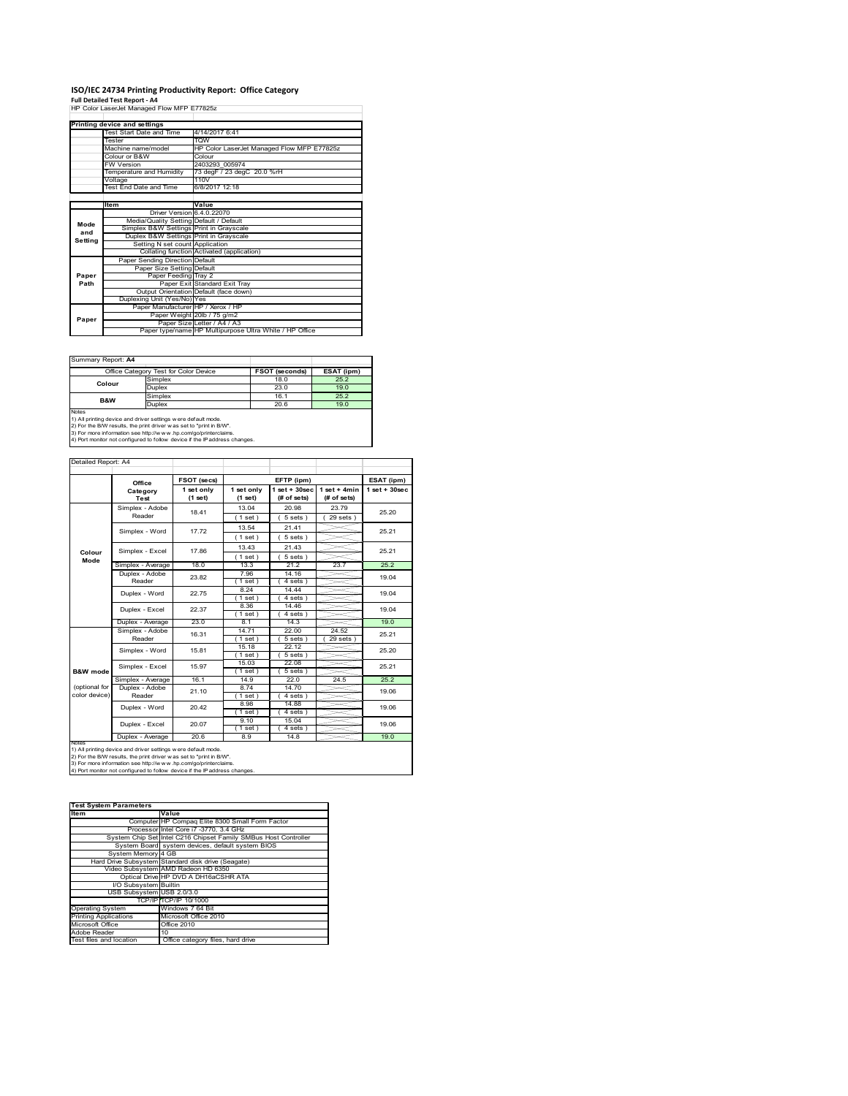# **ISO/IEC 24734 Printing Productivity Report: Office Category Full Detailed Test Report ‐ A4** HP Color LaserJet Managed Flow MFP E77825z

|         | HP Color LaserJet Managed Flow MFP E77825Z |                                                         |  |  |
|---------|--------------------------------------------|---------------------------------------------------------|--|--|
|         | Printing device and settings               |                                                         |  |  |
|         | Test Start Date and Time                   | 4/14/2017 6:41                                          |  |  |
|         | Tester                                     | <b>TOW</b>                                              |  |  |
|         | Machine name/model                         | HP Color LaserJet Managed Flow MFP E77825z              |  |  |
|         | Colour or B&W                              | Colour                                                  |  |  |
|         | <b>FW Version</b>                          | 2403293 005974                                          |  |  |
|         | Temperature and Humidity                   | 73 degF / 23 degC 20.0 %rH                              |  |  |
|         | Voltage                                    | 110V                                                    |  |  |
|         | Test End Date and Time                     | 6/8/2017 12:18                                          |  |  |
|         |                                            |                                                         |  |  |
|         | Item                                       | Value                                                   |  |  |
|         | Driver Version 6.4.0.22070                 |                                                         |  |  |
| Mode    | Media/Quality Setting Default / Default    |                                                         |  |  |
| and     | Simplex B&W Settings Print in Grayscale    |                                                         |  |  |
| Setting | Duplex B&W Settings Print in Grayscale     |                                                         |  |  |
|         | Setting N set count Application            |                                                         |  |  |
|         |                                            | Collating function Activated (application)              |  |  |
|         | Paper Sending Direction Default            |                                                         |  |  |
|         | Paper Size Setting Default                 |                                                         |  |  |
| Paper   | Paper Feeding Tray 2                       |                                                         |  |  |
| Path    |                                            | Paper Exit Standard Exit Tray                           |  |  |
|         |                                            | Output Orientation Default (face down)                  |  |  |
|         | Duplexing Unit (Yes/No) Yes                |                                                         |  |  |
|         | Paper Manufacturer HP / Xerox / HP         |                                                         |  |  |
| Paper   |                                            | Paper Weight 20lb / 75 g/m2                             |  |  |
|         |                                            | Paper Size Letter / A4 / A3                             |  |  |
|         |                                            | Paper type/name HP Multipurpose Ultra White / HP Office |  |  |

Summary Report: **A4**

|                | Office Category Test for Color Device | <b>FSOT (seconds)</b> | ESAT (ipm) |
|----------------|---------------------------------------|-----------------------|------------|
| Colour         | Simplex                               | 18.0                  | 25.2       |
|                | Duplex                                | 23.0                  | 19.0       |
| <b>B&amp;W</b> | Simplex                               | 16.1                  | 25.2       |
|                | Duplex                                | 20.6                  | 19.0       |
| Notes          |                                       |                       |            |

Notes<br>1) All printing device and driver settings were default mode.<br>2) For the B/W results, the print driver was set to "print in B/W".<br>3) For more information see http://www.hp.com/go/printerclaims.<br>4) Por more informatio

| Detailed Report: A4            |                           |                       |                         |                                   |                               |                   |
|--------------------------------|---------------------------|-----------------------|-------------------------|-----------------------------------|-------------------------------|-------------------|
|                                | Office                    | FSOT (secs)           |                         | EFTP (ipm)                        |                               | ESAT (ipm)        |
|                                | Category<br>Test          | 1 set only<br>(1 set) | 1 set only<br>$(1$ set) | $1$ set + $30$ sec<br>(# of sets) | $1$ set + 4min<br>(# of sets) | $1$ set $+30$ sec |
|                                | Simplex - Adobe<br>Reader | 18.41                 | 13.04<br>(1 set)        | 20.98<br>$5 sets$ )               | 23.79<br>$29$ sets $)$        | 25.20             |
|                                | Simplex - Word            | 17.72                 | 13.54<br>$1$ set)       | 21.41<br>$5 sets$ )               |                               | 25.21             |
| Colour                         | Simplex - Excel           | 17.86                 | 13.43<br>(1 set)        | 21.43<br>$5 sets$ )               |                               | 25.21             |
| Mode                           | Simplex - Average         | 18.0                  | 13.3                    | 21.2                              | 23.7                          | 25.2              |
|                                | Duplex - Adobe<br>Reader  | 23.82                 | 7.96<br>$1$ set)        | 14.16<br>4 sets                   |                               | 19.04             |
|                                | Duplex - Word             | 22.75                 | 8.24<br>$1$ set)        | 14.44<br>$4 sets$ )               |                               | 19.04             |
|                                | Duplex - Excel            | 22.37                 | 8.36<br>$1$ set)        | 14.46<br>4 sets                   |                               | 19.04             |
|                                | Duplex - Average          | 23.0                  | 8.1                     | 14.3                              |                               | 19.0              |
|                                | Simplex - Adobe<br>Reader | 16.31                 | 14.71<br>(1 set)        | 22.00<br>$5 sets$ )               | 24.52<br>$29$ sets $)$        | 25.21             |
|                                | Simplex - Word            | 15.81                 | 15.18<br>$1$ set $)$    | 22.12<br>$5 sets$ )               |                               | 25.20             |
| B&W mode                       | Simplex - Excel           | 15.97                 | 15.03<br>$1$ set)       | 22.08<br>$5 sets$ )               |                               | 25.21             |
|                                | Simplex - Average         | 16.1                  | 14.9                    | 22.0                              | 24.5                          | 25.2              |
| (optional for<br>color device) | Duplex - Adobe<br>Reader  | 21.10                 | 8.74<br>$1$ set)        | 14.70<br>4 sets)                  |                               | 19.06             |
|                                | Duplex - Word             | 20.42                 | 8.98<br>(1 set)         | 14.88<br>4 sets)                  |                               | 19.06             |
|                                | Duplex - Excel            | 20.07                 | 9.10<br>$1$ set)        | 15.04<br>4 sets)                  |                               | 19.06             |
| <b>INOTES</b>                  | Duplex - Average          | 20.6                  | 8.9                     | 14.8                              |                               | 19.0              |

notes<br>1) All printing device and driver settings w ere default mode.<br>2) For the B/W results, the print driver was set to "print in B/W".<br>3) For more information see http://www.vhp.com/go/printerclaims.<br>4) For more informat

| <b>Test System Parameters</b> |                                                                 |  |  |  |
|-------------------------------|-----------------------------------------------------------------|--|--|--|
| <b>Item</b>                   | Value                                                           |  |  |  |
|                               | Computer HP Compaq Elite 8300 Small Form Factor                 |  |  |  |
|                               | Processor Intel Core i7 -3770, 3.4 GHz                          |  |  |  |
|                               | System Chip Set Intel C216 Chipset Family SMBus Host Controller |  |  |  |
|                               | System Board system devices, default system BIOS                |  |  |  |
| System Memory 4 GB            |                                                                 |  |  |  |
|                               | Hard Drive Subsystem Standard disk drive (Seagate)              |  |  |  |
|                               | Video Subsystem AMD Radeon HD 6350                              |  |  |  |
|                               | Optical Drive HP DVD A DH16aCSHR ATA                            |  |  |  |
| I/O Subsystem Builtin         |                                                                 |  |  |  |
| USB Subsystem USB 2.0/3.0     |                                                                 |  |  |  |
|                               | TCP/IPITCP/IP 10/1000                                           |  |  |  |
| <b>Operating System</b>       | Windows 7 64 Bit                                                |  |  |  |
| <b>Printing Applications</b>  | Microsoft Office 2010                                           |  |  |  |
| Microsoft Office              | Office 2010                                                     |  |  |  |
| Adobe Reader                  | 10                                                              |  |  |  |
| Test files and location       | Office category files, hard drive                               |  |  |  |
|                               |                                                                 |  |  |  |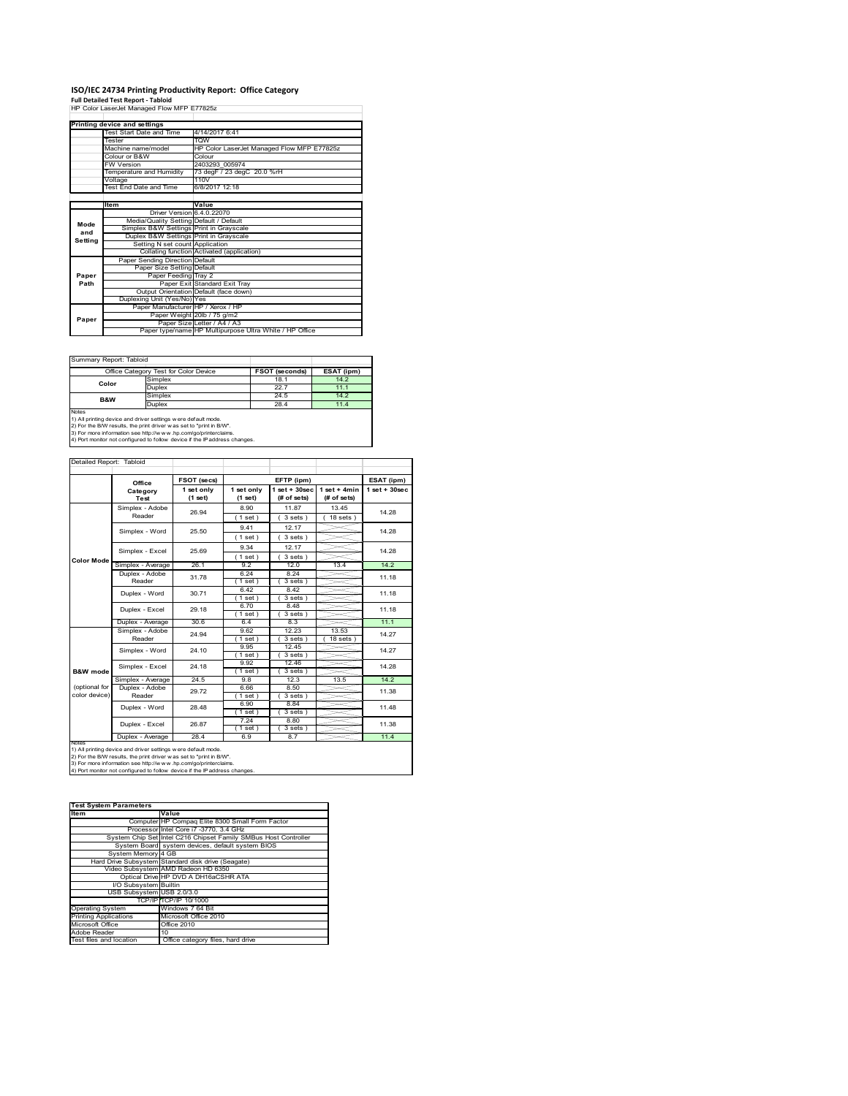# **ISO/IEC 24734 Printing Productivity Report: Office Category Full Detailed Test Report ‐ Tabloid** HP Color LaserJet Managed Flow MFP E77825z

|         | HP Color LaserJet Managed Flow MFP E77825Z |                                                         |  |  |
|---------|--------------------------------------------|---------------------------------------------------------|--|--|
|         | Printing device and settings               |                                                         |  |  |
|         | Test Start Date and Time                   | 4/14/2017 6:41                                          |  |  |
|         | Tester                                     | <b>TOW</b>                                              |  |  |
|         | Machine name/model                         | HP Color LaserJet Managed Flow MFP E77825z              |  |  |
|         | Colour or B&W                              | Colour                                                  |  |  |
|         | <b>FW Version</b>                          | 2403293 005974                                          |  |  |
|         | Temperature and Humidity                   | 73 degF / 23 degC 20.0 %rH                              |  |  |
|         | Voltage                                    | 110V                                                    |  |  |
|         | Test End Date and Time                     | 6/8/2017 12:18                                          |  |  |
|         |                                            |                                                         |  |  |
|         | <b>Item</b>                                | Value                                                   |  |  |
|         | Driver Version 6.4.0.22070                 |                                                         |  |  |
| Mode    | Media/Quality Setting Default / Default    |                                                         |  |  |
| and     | Simplex B&W Settings Print in Grayscale    |                                                         |  |  |
| Setting | Duplex B&W Settings Print in Grayscale     |                                                         |  |  |
|         | Setting N set count Application            |                                                         |  |  |
|         |                                            | Collating function Activated (application)              |  |  |
|         | Paper Sending Direction Default            |                                                         |  |  |
|         | Paper Size Setting Default                 |                                                         |  |  |
| Paper   | Paper Feeding Tray 2                       |                                                         |  |  |
| Path    |                                            | Paper Exit Standard Exit Tray                           |  |  |
|         |                                            | Output Orientation Default (face down)                  |  |  |
|         | Duplexing Unit (Yes/No) Yes                |                                                         |  |  |
|         | Paper Manufacturer HP / Xerox / HP         |                                                         |  |  |
| Paper   |                                            | Paper Weight 20lb / 75 g/m2                             |  |  |
|         |                                            | Paper Size Letter / A4 / A3                             |  |  |
|         |                                            | Paper type/name HP Multipurpose Ultra White / HP Office |  |  |

Summary Report: Tabloid

|                                                                            | Office Category Test for Color Device                          | <b>FSOT (seconds)</b> | ESAT (ipm) |  |  |  |
|----------------------------------------------------------------------------|----------------------------------------------------------------|-----------------------|------------|--|--|--|
| Color                                                                      | Simplex                                                        | 18.1                  | 14.2       |  |  |  |
|                                                                            | Duplex                                                         | 22.7                  | 11.1       |  |  |  |
| <b>B&amp;W</b>                                                             | Simplex                                                        | 24.5                  | 14.2       |  |  |  |
|                                                                            | <b>Duplex</b>                                                  | 28.4                  | 11.4       |  |  |  |
| Notes                                                                      |                                                                |                       |            |  |  |  |
|                                                                            | 1) All printing device and driver settings w ere default mode. |                       |            |  |  |  |
| 2) For the B/W results, the print driver was set to "print in B/W".        |                                                                |                       |            |  |  |  |
| 3) For more information see http://www.hp.com/go/printerclaims.            |                                                                |                       |            |  |  |  |
| 4) Port monitor not configured to follow device if the IP address changes. |                                                                |                       |            |  |  |  |

| Detailed Report: Tabloid       |                          |                       |                       |                                   |                               |                    |
|--------------------------------|--------------------------|-----------------------|-----------------------|-----------------------------------|-------------------------------|--------------------|
|                                | Office                   | FSOT (secs)           |                       | EFTP (ipm)                        |                               | ESAT (ipm)         |
|                                | Category<br>Test         | 1 set only<br>(1 set) | 1 set only<br>(1 set) | $1$ set + $30$ sec<br>(# of sets) | $1$ set + 4min<br>(# of sets) | $1$ set + $30$ sec |
|                                | Simplex - Adobe          | 26.94                 | 8.90                  | 11.87                             | 13.45                         | 14.28              |
|                                | Reader                   |                       | $1$ set)              | $3 sets$ )                        | $18$ sets $)$                 |                    |
|                                | Simplex - Word           | 25.50                 | 9.41                  | 12.17                             |                               | 14.28              |
|                                |                          |                       | $1$ set)              | 3 sets)                           |                               |                    |
|                                | Simplex - Excel          | 25.69                 | 9.34                  | 12.17                             |                               | 14.28              |
| <b>Color Mode</b>              |                          |                       | (1 set)               | 3 sets)                           |                               |                    |
|                                | Simplex - Average        | 26.1                  | 92                    | 120                               | 13.4                          | 14.2               |
|                                | Duplex - Adobe           | 31.78                 | 6.24                  | 8.24                              |                               | 11.18<br>11.18     |
|                                | Reader                   |                       | (1 set)               | $3 sets$ )                        |                               |                    |
|                                | Duplex - Word            | 30.71                 | 6.42                  | 8.42                              |                               |                    |
|                                |                          |                       | $1$ set)              | $3 sets$ )                        |                               |                    |
|                                | Duplex - Excel           | 29.18                 | 6.70                  | 8.48                              |                               | 11.18              |
|                                |                          |                       | $1$ set $)$           | $3 sets$ )                        |                               |                    |
|                                | Duplex - Average         | 30.6                  | 64                    | 8.3                               |                               | 11.1               |
|                                | Simplex - Adobe          | 24.94                 | 9.62                  | 12.23                             | 13.53                         | 14.27              |
|                                | Reader                   |                       | $1$ set)              | $3 sets$ )                        | $18$ sets)                    |                    |
|                                | Simplex - Word           | 24.10                 | 9.95                  | 12.45                             |                               | 14.27              |
|                                |                          |                       | $1$ set)              | 3 sets)                           |                               |                    |
|                                | Simplex - Excel          | 24.18                 | 9.92                  | 12.46                             |                               | 14.28              |
| <b>B&amp;W</b> mode            |                          |                       | $1$ set)              | $3 sets$ )                        |                               |                    |
|                                | Simplex - Average        | 24.5                  | 9.8                   | 12.3                              | 13.5                          | 14.2               |
| (optional for<br>color device) | Duplex - Adobe<br>Reader | 29.72                 | 6.66                  | 8.50                              |                               | 11.38              |
|                                |                          |                       | $1$ set)              | $3 sets$ )                        |                               |                    |
|                                | Duplex - Word            | 28.48                 | 6.90<br>$'1$ set)     | 8.84<br>3 sets)                   |                               | 11.48              |
|                                |                          |                       | 7.24                  | 8.80                              |                               |                    |
|                                | Duplex - Excel           | 26.87                 | $1$ set)              | 3 sets)                           |                               | 11.38              |
|                                | Duplex - Average         | 28.4                  | 6.9                   | 8.7                               |                               | 11.4               |
| <b>NOtes</b>                   |                          |                       |                       |                                   |                               |                    |

notes<br>1) All printing device and driver settings w ere default mode.<br>2) For the B/W results, the print driver was set to "print in B/W".<br>3) For more information see http://w w.w. r.p.com/go/printerclaims.<br>4) For more infor

| <b>Test System Parameters</b> |                                                                 |
|-------------------------------|-----------------------------------------------------------------|
| <b>Item</b>                   | Value                                                           |
|                               | Computer HP Compaq Elite 8300 Small Form Factor                 |
|                               | Processor Intel Core i7 -3770, 3.4 GHz                          |
|                               | System Chip Set Intel C216 Chipset Family SMBus Host Controller |
|                               | System Board system devices, default system BIOS                |
| System Memory 4 GB            |                                                                 |
|                               | Hard Drive Subsystem Standard disk drive (Seagate)              |
|                               | Video Subsystem AMD Radeon HD 6350                              |
|                               | Optical Drive HP DVD A DH16aCSHR ATA                            |
| I/O Subsystem Builtin         |                                                                 |
| USB Subsystem USB 2.0/3.0     |                                                                 |
|                               | TCP/IPITCP/IP 10/1000                                           |
| <b>Operating System</b>       | Windows 7 64 Bit                                                |
| <b>Printing Applications</b>  | Microsoft Office 2010                                           |
| Microsoft Office              | Office 2010                                                     |
| Adobe Reader                  | 10                                                              |
| Test files and location       | Office category files, hard drive                               |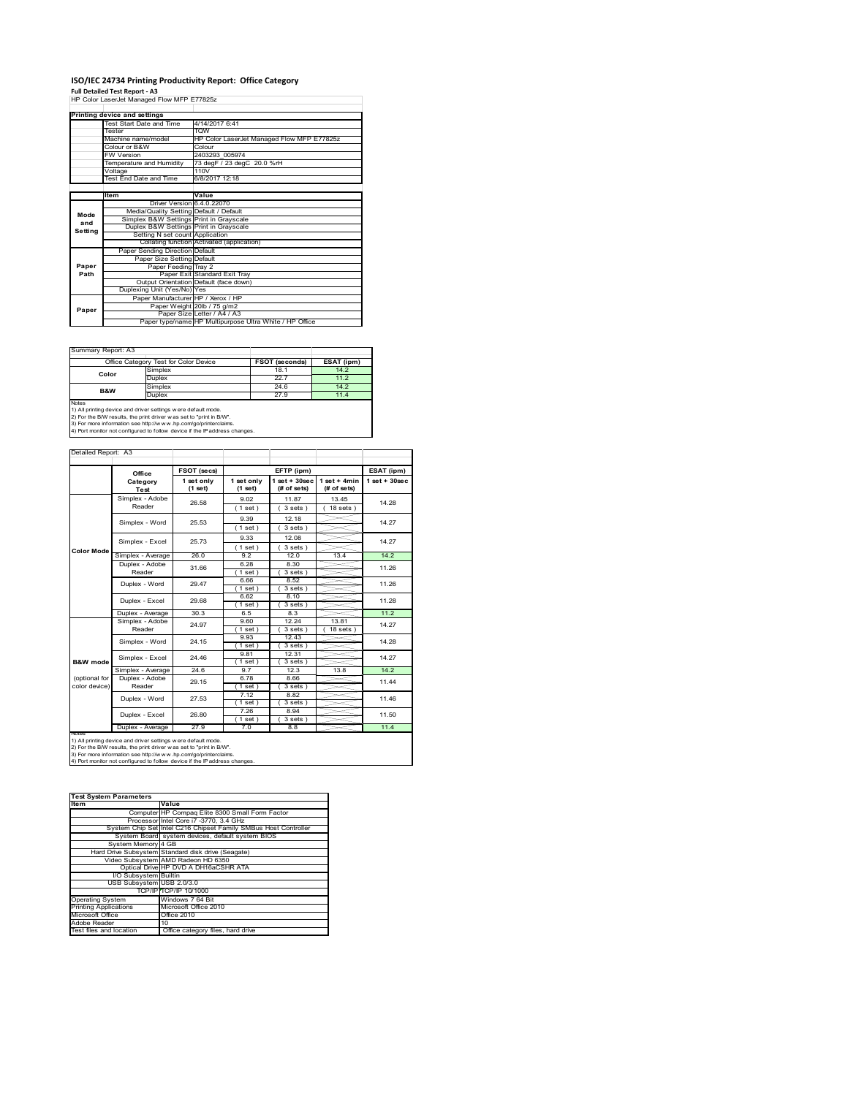# **ISO/IEC 24734 Printing Productivity Report: Office Category Full Detailed Test Report ‐ A3** HP Color LaserJet Managed Flow MFP E77825z

|         | Printing device and settings            |                                                         |  |  |  |
|---------|-----------------------------------------|---------------------------------------------------------|--|--|--|
|         | Test Start Date and Time                | 4/14/2017 6:41                                          |  |  |  |
|         | Tester                                  | <b>TOW</b>                                              |  |  |  |
|         | Machine name/model                      | HP Color LaserJet Managed Flow MFP E77825z              |  |  |  |
|         | Colour or B&W                           | Colour                                                  |  |  |  |
|         | <b>FW Version</b>                       | 2403293 005974                                          |  |  |  |
|         | Temperature and Humidity                | 73 degF / 23 degC 20.0 %rH                              |  |  |  |
|         | Voltage                                 | 110V                                                    |  |  |  |
|         | Test End Date and Time                  | 6/8/2017 12:18                                          |  |  |  |
|         |                                         |                                                         |  |  |  |
|         | Item                                    | Value                                                   |  |  |  |
|         | Driver Version 6.4.0.22070              |                                                         |  |  |  |
| Mode    | Media/Quality Setting Default / Default |                                                         |  |  |  |
| and     | Simplex B&W Settings Print in Grayscale |                                                         |  |  |  |
| Setting | Duplex B&W Settings Print in Grayscale  |                                                         |  |  |  |
|         | Setting N set count Application         |                                                         |  |  |  |
|         |                                         | Collating function Activated (application)              |  |  |  |
|         | Paper Sending Direction Default         |                                                         |  |  |  |
|         | Paper Size Setting Default              |                                                         |  |  |  |
| Paper   | Paper Feeding Tray 2                    |                                                         |  |  |  |
| Path    |                                         | Paper Exit Standard Exit Tray                           |  |  |  |
|         |                                         | Output Orientation Default (face down)                  |  |  |  |
|         | Duplexing Unit (Yes/No) Yes             |                                                         |  |  |  |
|         | Paper Manufacturer HP / Xerox / HP      |                                                         |  |  |  |
| Paper   |                                         | Paper Weight 20lb / 75 g/m2                             |  |  |  |
|         |                                         | Paper Size Letter / A4 / A3                             |  |  |  |
|         |                                         | Paper type/name HP Multipurpose Ultra White / HP Office |  |  |  |

Ī.

| Summary Report: A3 |                                       |                       |            |
|--------------------|---------------------------------------|-----------------------|------------|
|                    | Office Category Test for Color Device | <b>FSOT (seconds)</b> | ESAT (ipm) |
| Color              | Simplex                               | 18.1                  | 14.2       |
|                    | Duplex                                | 22.7                  | 11.2       |
| <b>B&amp;W</b>     | Simplex                               | 24.6                  | 14.2       |
|                    | Duplex                                | 27.9                  | 11.4       |
| <b>Notes</b>       |                                       |                       |            |

Notes<br>1) All printing device and driver settings were default mode.<br>2) For the B/W results, the print driver was set to "print in B/W".<br>3) For more information see http://www.hp.com/go/printerclaims.<br>4) Por more informatio

| Detailed Report: A3            |                           |                       |                       |                                   |                               |                   |
|--------------------------------|---------------------------|-----------------------|-----------------------|-----------------------------------|-------------------------------|-------------------|
|                                | Office                    | FSOT (secs)           |                       | EFTP (ipm)                        |                               | ESAT (ipm)        |
|                                | Category<br>Test          | 1 set only<br>(1 set) | 1 set only<br>(1 set) | $1$ set + $30$ sec<br>(# of sets) | $1$ set + 4min<br>(# of sets) | $1$ set $+30$ sec |
|                                | Simplex - Adobe<br>Reader | 26.58                 | 9.02<br>(1 set)       | 11.87<br>$3 sets$ )               | 13.45<br>$18$ sets $)$        | 14.28             |
|                                | Simplex - Word            | 25.53                 | 9.39<br>(1 set)       | 12.18<br>3 sets                   |                               | 14.27             |
|                                | Simplex - Excel           | 25.73                 | 9.33<br>(1 set)       | 12.08<br>$3 sets$ )               |                               | 14.27             |
| <b>Color Mode</b>              | Simplex - Average         | 26.0                  | 92                    | 12.0                              | 13.4                          | 14.2              |
|                                | Duplex - Adobe<br>Reader  | 31.66                 | 6.28<br>$1$ set)      | 8.30<br>$3 sets$ )                |                               | 11.26             |
|                                | Duplex - Word             | 29.47                 | 6.66<br>$1$ set $)$   | 8.52<br>$3 sets$ )                |                               | 11.26             |
|                                | Duplex - Excel            | 29.68                 | 6.62<br>$1$ set)      | 8.10<br>3 sets                    |                               | 11.28             |
|                                | Duplex - Average          | 30.3                  | 6.5                   | 8.3                               |                               | 11.2              |
|                                | Simplex - Adobe<br>Reader | 24.97                 | 9.60<br>(1 set)       | 12.24<br>3 sets                   | 13.81<br>$18$ sets            | 14.27             |
|                                | Simplex - Word            | 24.15                 | 9.93<br>$1$ set)      | 12 43<br>$3 sets$ )               |                               | 14.28             |
| <b>B&amp;W</b> mode            | Simplex - Excel           | 24.46                 | 9.81<br>$1$ set $)$   | 12.31<br>$3 sets$ )               |                               | 14.27             |
|                                | Simplex - Average         | $\overline{24.6}$     | 97                    | 12.3                              | 13.8                          | 14.2              |
| (optional for<br>color device) | Duplex - Adobe<br>Reader  | 29.15                 | 6.78<br>(1 set)       | 8.66<br>$3 sets$ )                |                               | 11.44             |
|                                | Duplex - Word             | 27.53                 | 7.12<br>$1$ set)      | 8.82<br>3 sets )                  |                               | 11.46             |
|                                | Duplex - Excel            | 26.80                 | 7.26<br>$1$ set)      | 8.94<br>3 sets)                   |                               | 11.50             |
| <b>INOTES</b>                  | Duplex - Average          | 27.9                  | 7.0                   | 8.8                               |                               | 11.4              |

notes<br>1) All printing device and driver settings were default mode.<br>2) For the B/W results, the print driver was set to "print in B/W".<br>3) For more information see http://www.vhp.com/go/printerclaims.<br>4) Por more informati

| <b>Test System Parameters</b> |                                                                 |  |  |  |
|-------------------------------|-----------------------------------------------------------------|--|--|--|
| Item                          | Value                                                           |  |  |  |
|                               | Computer HP Compaq Elite 8300 Small Form Factor                 |  |  |  |
|                               | Processor Intel Core i7 -3770, 3.4 GHz                          |  |  |  |
|                               | System Chip Set Intel C216 Chipset Family SMBus Host Controller |  |  |  |
|                               | System Board system devices, default system BIOS                |  |  |  |
| System Memory 4 GB            |                                                                 |  |  |  |
|                               | Hard Drive Subsystem Standard disk drive (Seagate)              |  |  |  |
|                               | Video Subsystem AMD Radeon HD 6350                              |  |  |  |
|                               | Optical Drive HP DVD A DH16aCSHR ATA                            |  |  |  |
| I/O Subsystem Builtin         |                                                                 |  |  |  |
| USB Subsystem USB 2.0/3.0     |                                                                 |  |  |  |
|                               | TCP/IPITCP/IP 10/1000                                           |  |  |  |
| <b>Operating System</b>       | Windows 7 64 Bit                                                |  |  |  |
| <b>Printing Applications</b>  | Microsoft Office 2010                                           |  |  |  |
| Microsoft Office              | Office 2010                                                     |  |  |  |
| Adobe Reader                  | 10                                                              |  |  |  |
| Test files and location       | Office category files, hard drive                               |  |  |  |
|                               |                                                                 |  |  |  |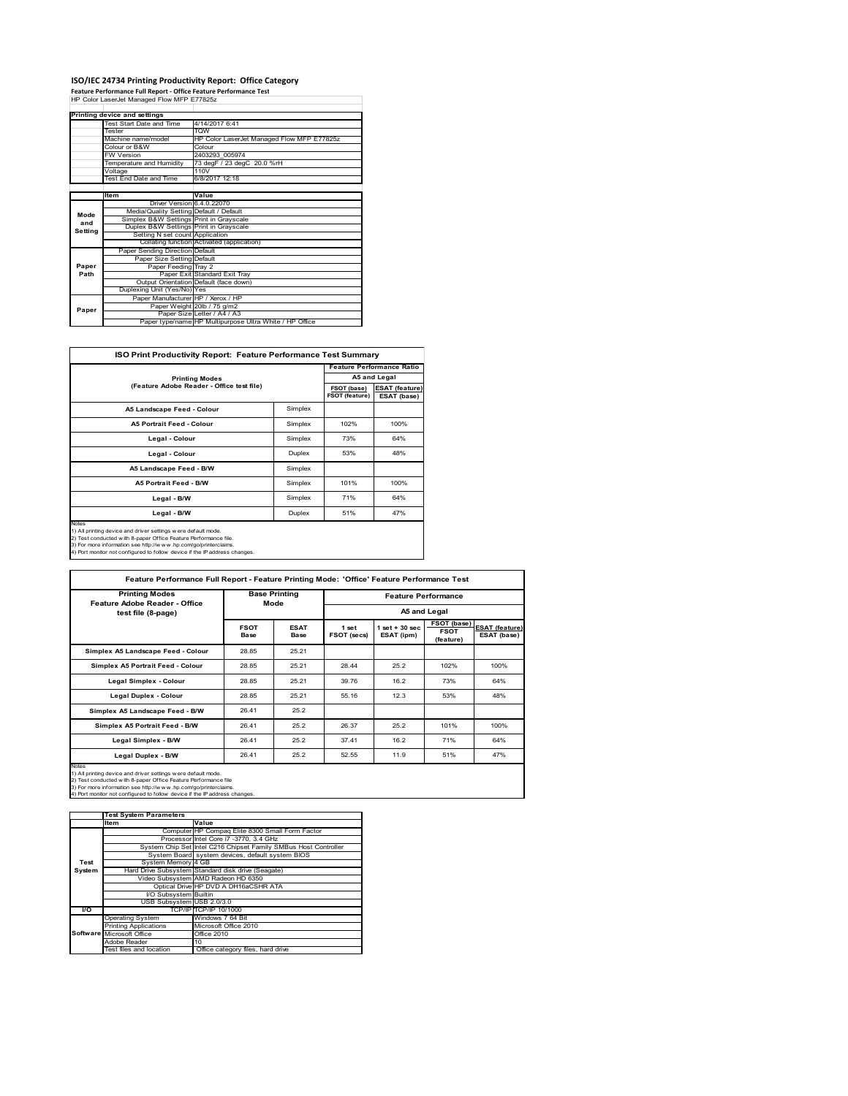## **ISO/IEC 24734 Printing Productivity Report: Office Category Feature Performance Full Report ‐ Office Feature Performance Test** HP Color LaserJet Managed Flow MFP E77825z

|         | Printing device and settings            |                                                         |
|---------|-----------------------------------------|---------------------------------------------------------|
|         | Test Start Date and Time                | 4/14/2017 6:41                                          |
|         | Tester                                  | <b>TOW</b>                                              |
|         | Machine name/model                      | HP Color LaserJet Managed Flow MFP E77825z              |
|         | Colour or B&W                           | Colour                                                  |
|         | <b>FW Version</b>                       | 2403293 005974                                          |
|         | Temperature and Humidity                | 73 degF / 23 degC 20.0 %rH                              |
|         | Voltage                                 | 110V                                                    |
|         | Test End Date and Time                  | 6/8/2017 12:18                                          |
|         |                                         |                                                         |
|         | Item                                    | Value                                                   |
|         | Driver Version 6.4.0.22070              |                                                         |
| Mode    | Media/Quality Setting Default / Default |                                                         |
| and     | Simplex B&W Settings Print in Grayscale |                                                         |
| Setting | Duplex B&W Settings Print in Grayscale  |                                                         |
|         | Setting N set count Application         |                                                         |
|         |                                         | Collating function Activated (application)              |
|         | Paper Sending Direction Default         |                                                         |
|         | Paper Size Setting Default              |                                                         |
| Paper   | Paper Feeding Tray 2                    |                                                         |
| Path    |                                         | Paper Exit Standard Exit Tray                           |
|         |                                         | Output Orientation Default (face down)                  |
|         | Duplexing Unit (Yes/No) Yes             |                                                         |
|         | Paper Manufacturer HP / Xerox / HP      |                                                         |
| Paper   |                                         | Paper Weight 20lb / 75 g/m2                             |
|         |                                         | Paper Size Letter / A4 / A3                             |
|         |                                         | Paper type/name HP Multipurpose Ultra White / HP Office |

 $\overline{\phantom{0}}$ 

| FSOT (base)<br>FSOT (feature)<br>Simplex<br>Simplex<br>102%<br>Simplex<br>73%<br>Duplex<br>53% | A5 and Legal<br><b>ESAT (feature)</b><br>ESAT (base)<br>100%<br>64%<br>48% |
|------------------------------------------------------------------------------------------------|----------------------------------------------------------------------------|
|                                                                                                |                                                                            |
|                                                                                                |                                                                            |
|                                                                                                |                                                                            |
|                                                                                                |                                                                            |
|                                                                                                |                                                                            |
|                                                                                                |                                                                            |
| Simplex                                                                                        |                                                                            |
| 101%<br>Simplex                                                                                | 100%                                                                       |
| 71%                                                                                            | 64%                                                                        |
| 51%                                                                                            | 47%                                                                        |
|                                                                                                | Simplex<br>Duplex                                                          |

| Feature Adobe Reader - Office<br>Mode<br>test file (8-page)<br><b>FSOT</b><br>Base<br>28.85<br>Simplex A5 Landscape Feed - Colour<br>Simplex A5 Portrait Feed - Colour<br>28.85<br>Legal Simplex - Colour<br>28.85<br>28.85<br><b>Legal Duplex - Colour</b><br>Simplex A5 Landscape Feed - B/W<br>26.41 | <b>ESAT</b><br>Base<br>25.21<br>25.21<br>25.21<br>25.21 | 1 set<br>FSOT (secs)<br>28.44<br>39.76 | $1$ set $+30$ sec<br>ESAT (ipm)<br>25.2<br>16.2 | A5 and Legal<br>FSOT (base)<br><b>FSOT</b><br>(feature)<br>102%<br>73% | 100%<br>64%                          |
|---------------------------------------------------------------------------------------------------------------------------------------------------------------------------------------------------------------------------------------------------------------------------------------------------------|---------------------------------------------------------|----------------------------------------|-------------------------------------------------|------------------------------------------------------------------------|--------------------------------------|
|                                                                                                                                                                                                                                                                                                         |                                                         |                                        |                                                 |                                                                        | <b>ESAT (feature)</b><br>ESAT (base) |
|                                                                                                                                                                                                                                                                                                         |                                                         |                                        |                                                 |                                                                        |                                      |
|                                                                                                                                                                                                                                                                                                         |                                                         |                                        |                                                 |                                                                        |                                      |
|                                                                                                                                                                                                                                                                                                         |                                                         |                                        |                                                 |                                                                        |                                      |
|                                                                                                                                                                                                                                                                                                         |                                                         |                                        |                                                 |                                                                        |                                      |
|                                                                                                                                                                                                                                                                                                         |                                                         | 55.16                                  | 12.3                                            | 53%                                                                    | 48%                                  |
|                                                                                                                                                                                                                                                                                                         | 25.2                                                    |                                        |                                                 |                                                                        |                                      |
| 26.41<br>Simplex A5 Portrait Feed - B/W                                                                                                                                                                                                                                                                 | 25.2                                                    | 26.37                                  | 25.2                                            | 101%                                                                   | 100%                                 |
| 26.41<br>Legal Simplex - B/W                                                                                                                                                                                                                                                                            | 25.2                                                    | 37.41                                  | 16.2                                            | 71%                                                                    | 64%                                  |
| Legal Duplex - B/W<br>26.41                                                                                                                                                                                                                                                                             | 25.2                                                    | 52.55                                  | 11.9                                            | 51%                                                                    | 47%                                  |

**Item Value Test System Parameters**Computer HP Compaq Elite 8300 Small Form Factor Processor Intel Core i7 -3770, 3.4 GHz System Chip Set Intel C216 Chipset Family SMBus Host Controller System Board system devices, default system BIOS<br>System Memory 4 GB System Board<br><sub>/</sub>stem Memory Hard Drive Subsystem Standard disk drive (Seagate)<br>Video Subsystem AMD Radeon HD 6350<br>Optical Drive HP DVD A DH16aCSHR ATA Video Subsystem AMD Radeon HD 6350 Optical Drive HP DVD A DH16aCSHR ATA I/O Subsys<br>USB Subsys Julium<br>JSB 2.0/3.0 **I/O** TCP/IP TCP/IP 10/1000 Operating System Windows 7 64 Bit Printing Applications Microsoft Office 2010 Microsoft Office **Contact Corporation** Office 2010 dobe Reader 10<br>Office category files, hard dri **Test System Software**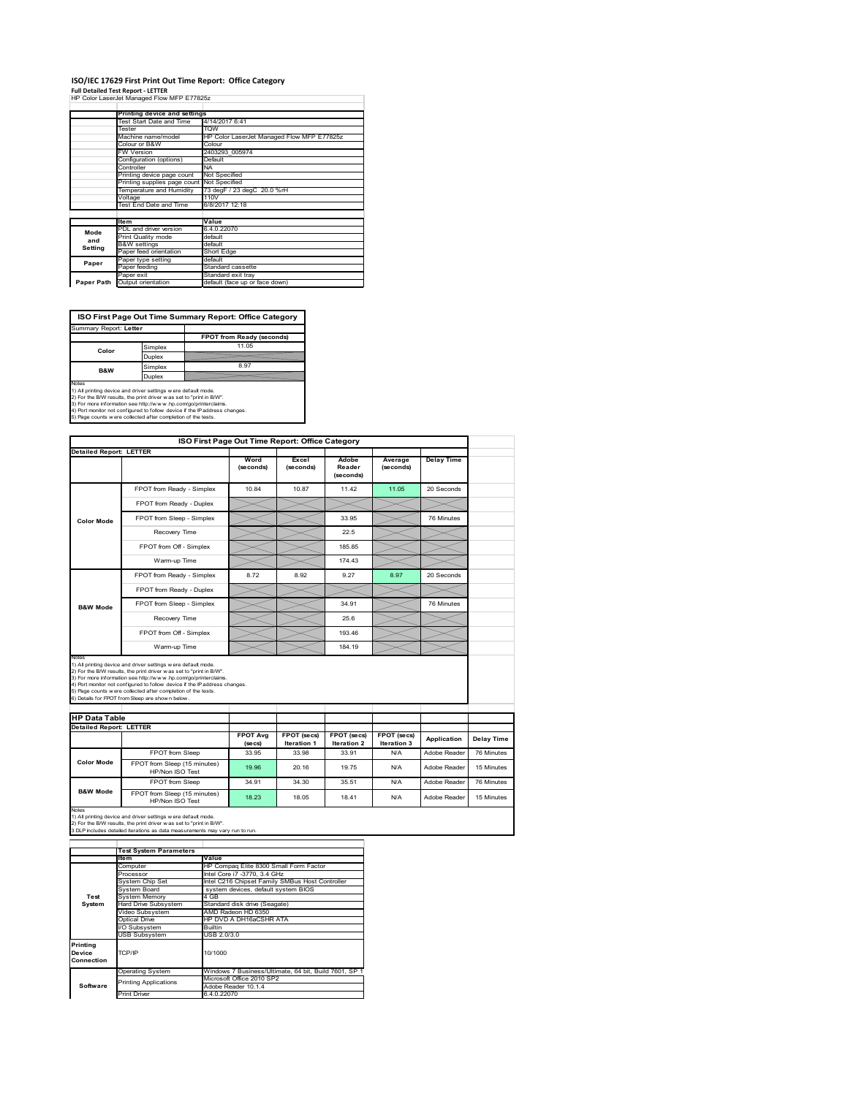## **ISO/IEC 17629 First Print Out Time Report: Office Category**

**Full Detailed Test Report ‐ LETTER** HP Color LaserJet Managed Flow MFP E77825z

|            | Printing device and settings               |                                            |  |
|------------|--------------------------------------------|--------------------------------------------|--|
|            | Test Start Date and Time                   | 4/14/2017 6:41                             |  |
|            | Tester                                     | <b>TOW</b>                                 |  |
|            | Machine name/model                         | HP Color LaserJet Managed Flow MFP E77825z |  |
|            | Colour or B&W                              | Colour                                     |  |
|            | <b>FW Version</b>                          | 2403293 005974                             |  |
|            | Configuration (options)                    | Default                                    |  |
|            | Controller                                 | NA.                                        |  |
|            | Printing device page count                 | Not Specified                              |  |
|            | Printing supplies page count Not Specified |                                            |  |
|            | Temperature and Humidity                   | 73 degF / 23 degC 20.0 %rH                 |  |
|            | Voltage                                    | 110V                                       |  |
|            | Test End Date and Time                     | 6/8/2017 12:18                             |  |
|            |                                            |                                            |  |
|            | <b>Item</b>                                | Value                                      |  |
| Mode       | PDL and driver version                     | 6.4.0.22070                                |  |
| and        | Print Quality mode                         | default                                    |  |
| Setting    | <b>B&amp;W</b> settings                    | default                                    |  |
|            | Paper feed orientation                     | Short Edge                                 |  |
| Paper      | Paper type setting                         | default                                    |  |
|            | Paper feeding                              | Standard cassette                          |  |
|            | Paper exit                                 | Standard exit tray                         |  |
| Paper Path | Output orientation                         | default (face up or face down)             |  |

**ISO First Page Out Time Summary Report: Office Category**

| Summary Report: Letter                                                                                                                         |         |                                                                            |
|------------------------------------------------------------------------------------------------------------------------------------------------|---------|----------------------------------------------------------------------------|
|                                                                                                                                                |         | FPOT from Ready (seconds)                                                  |
| Color                                                                                                                                          | Simplex | 11.05                                                                      |
|                                                                                                                                                | Duplex  |                                                                            |
| <b>B&amp;W</b>                                                                                                                                 | Simplex | 8.97                                                                       |
|                                                                                                                                                | Duplex  |                                                                            |
| Notes<br>1) All printing device and driver settings w ere default mode.<br>2) For the B/W results, the print driver was set to "print in B/W". |         |                                                                            |
| 3) For more information see http://www.hp.com/go/printerclaims.                                                                                |         | 4) Port monitor not configured to follow device if the IP address changes. |
| 5) Page counts w ere collected after completion of the tests.                                                                                  |         |                                                                            |

|                                |                                                                                                                                                                                                                                                                                                                                                                                                             |                            |                            | ISO First Page Out Time Report: Office Category |                            |                   |                          |
|--------------------------------|-------------------------------------------------------------------------------------------------------------------------------------------------------------------------------------------------------------------------------------------------------------------------------------------------------------------------------------------------------------------------------------------------------------|----------------------------|----------------------------|-------------------------------------------------|----------------------------|-------------------|--------------------------|
|                                | <b>Detailed Report: LETTER</b>                                                                                                                                                                                                                                                                                                                                                                              | Word<br>(seconds)          | Excel<br>(seconds)         | Adobe<br>Reader<br>(seconds)                    | Average<br>(seconds)       | <b>Delay Time</b> |                          |
|                                | FPOT from Ready - Simplex                                                                                                                                                                                                                                                                                                                                                                                   | 10.84                      | 10.87                      | 11.42                                           | 11.05                      | 20 Seconds        |                          |
|                                | FPOT from Ready - Duplex                                                                                                                                                                                                                                                                                                                                                                                    |                            |                            |                                                 |                            |                   |                          |
| <b>Color Mode</b>              | FPOT from Sleep - Simplex                                                                                                                                                                                                                                                                                                                                                                                   |                            |                            | 33.95                                           |                            | 76 Minutes        |                          |
|                                | Recovery Time                                                                                                                                                                                                                                                                                                                                                                                               |                            |                            | 22.5                                            |                            |                   |                          |
|                                | FPOT from Off - Simplex                                                                                                                                                                                                                                                                                                                                                                                     |                            |                            | 18585                                           |                            |                   |                          |
|                                | Warm-up Time                                                                                                                                                                                                                                                                                                                                                                                                |                            |                            | 174.43                                          |                            |                   |                          |
|                                | FPOT from Ready - Simplex                                                                                                                                                                                                                                                                                                                                                                                   | 8.72                       | 8.92                       | 9.27                                            | 8.97                       | 20 Seconds        |                          |
|                                | FPOT from Ready - Duplex                                                                                                                                                                                                                                                                                                                                                                                    |                            |                            |                                                 |                            |                   |                          |
| <b>B&amp;W Mode</b>            | FPOT from Sleep - Simplex                                                                                                                                                                                                                                                                                                                                                                                   |                            |                            | 34.91                                           |                            | 76 Minutes        |                          |
|                                | Recovery Time                                                                                                                                                                                                                                                                                                                                                                                               |                            |                            | 25.6                                            |                            |                   |                          |
|                                |                                                                                                                                                                                                                                                                                                                                                                                                             |                            |                            |                                                 |                            |                   |                          |
|                                | FPOT from Off - Simplex                                                                                                                                                                                                                                                                                                                                                                                     |                            |                            | 193 46                                          |                            |                   |                          |
|                                | Warm-up Time                                                                                                                                                                                                                                                                                                                                                                                                |                            |                            | 184.19                                          |                            |                   |                          |
| Notes                          | 1) All printing device and driver settings w ere default mode.<br>2) For the B/W results, the print driver was set to "print in B/W".<br>3) For more information see http://www.hp.com/go/printerclaims.<br>4) Port monitor not configured to follow device if the IP address changes.<br>5) Page counts w ere collected after completion of the tests.<br>6) Details for FPOT from Sleep are show n below. |                            |                            |                                                 |                            |                   |                          |
| <b>HP Data Table</b>           |                                                                                                                                                                                                                                                                                                                                                                                                             |                            |                            |                                                 |                            |                   |                          |
| <b>Detailed Report: LETTER</b> |                                                                                                                                                                                                                                                                                                                                                                                                             | <b>FPOT Avg</b><br>(se cs) | FPOT (secs)<br>Iteration 1 | FPOT (secs)<br><b>Iteration 2</b>               | FPOT (secs)<br>Iteration 3 | Application       |                          |
|                                | FPOT from Sleep                                                                                                                                                                                                                                                                                                                                                                                             | 33.95                      | 33.98                      | 33.91                                           | N/A                        | Adobe Reader      | Delay Time<br>76 Minutes |
| <b>Color Mode</b>              | FPOT from Sleep (15 minutes)<br>HP/Non ISO Test                                                                                                                                                                                                                                                                                                                                                             | 19.96                      | 20.16                      | 19.75                                           | N/A                        | Adobe Reader      | 15 Minutes               |
| <b>B&amp;W Mode</b>            | <b>FPOT</b> from Sleep                                                                                                                                                                                                                                                                                                                                                                                      | 34.91                      | 34.30                      | 35.51                                           | N/A                        | Adobe Reader      | 76 Minutes               |

Notes<br>1) All printing device and driver settings w ere default mode.<br>2) For the B/W results, the print driver w as set to "print in B/W".<br>3 DLP includes detailed iterations as data measurements may vary run to run.

|                                  | <b>Test System Parameters</b> |                                                       |
|----------------------------------|-------------------------------|-------------------------------------------------------|
|                                  | <b>Item</b>                   | Value                                                 |
|                                  | Computer                      | HP Compag Elite 8300 Small Form Factor                |
|                                  | Processor                     | Intel Core i7 -3770, 3.4 GHz                          |
|                                  | System Chip Set               | Intel C216 Chipset Family SMBus Host Controller       |
|                                  | System Board                  | system devices, default system BIOS                   |
| Test                             | <b>System Memory</b>          | 4 GB                                                  |
| System                           | <b>Hard Drive Subsystem</b>   | Standard disk drive (Seagate)                         |
|                                  | Video Subsystem               | AMD Radeon HD 6350                                    |
|                                  | Optical Drive                 | HP DVD A DH16aCSHR ATA                                |
|                                  | I/O Subsystem                 | <b>Builtin</b>                                        |
|                                  | <b>USB Subsystem</b>          | USB 2.0/3.0                                           |
| Printing<br>Device<br>Connection | TCP/IP                        | 10/1000                                               |
|                                  | <b>Operating System</b>       | Windows 7 Business/Ultimate, 64 bit, Build 7601, SP 1 |
|                                  | <b>Printing Applications</b>  | Microsoft Office 2010 SP2                             |
| Software                         |                               | Adobe Reader 10.1.4                                   |
|                                  | Print Driver                  | 6.4.0.22070                                           |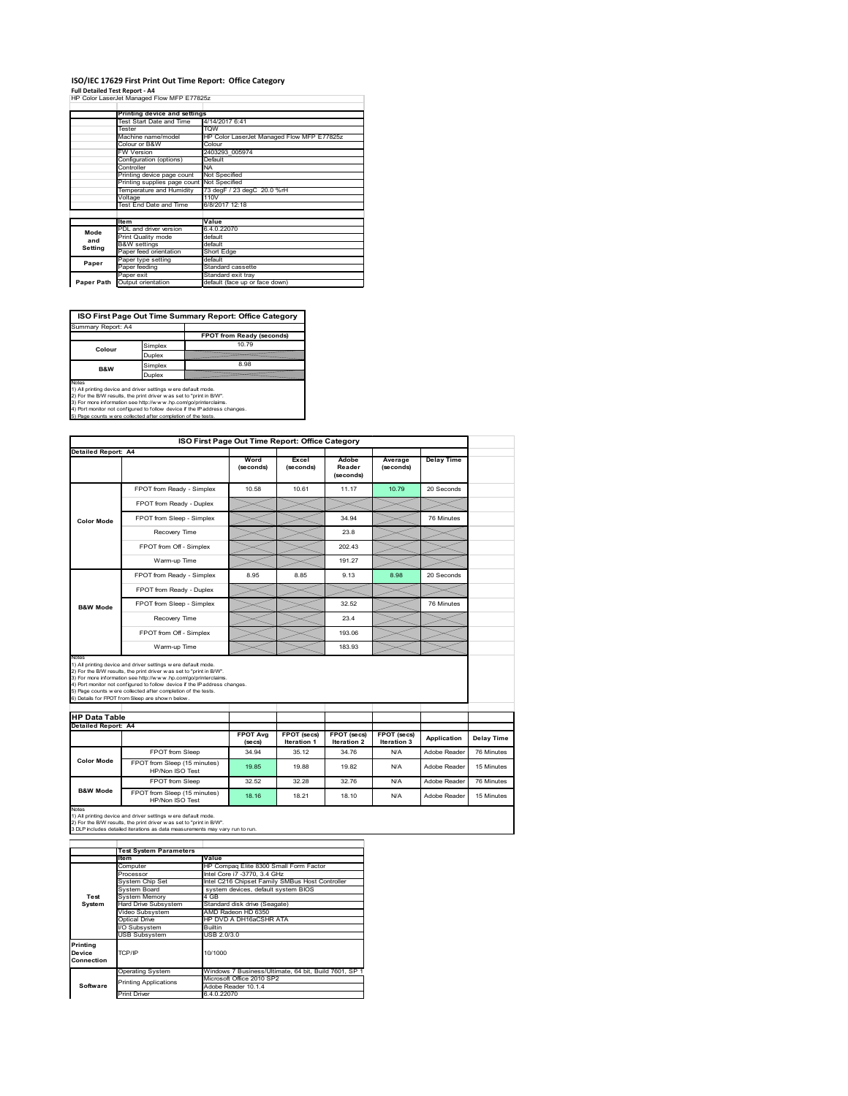## **ISO/IEC 17629 First Print Out Time Report: Office Category**

**Full Detailed Test Report ‐ A4** HP Color LaserJet Managed Flow MFP E77825z

|            | Printing device and settings               |                                            |  |  |  |
|------------|--------------------------------------------|--------------------------------------------|--|--|--|
|            | Test Start Date and Time                   | 4/14/2017 6:41                             |  |  |  |
|            | Tester                                     | <b>TOW</b>                                 |  |  |  |
|            | Machine name/model                         | HP Color LaserJet Managed Flow MFP E77825z |  |  |  |
|            | Colour or B&W                              | Colour                                     |  |  |  |
|            | <b>FW Version</b>                          | 2403293 005974                             |  |  |  |
|            | Configuration (options)                    | Default                                    |  |  |  |
|            | Controller                                 | <b>NA</b>                                  |  |  |  |
|            | Printing device page count                 | Not Specified                              |  |  |  |
|            | Printing supplies page count Not Specified |                                            |  |  |  |
|            | Temperature and Humidity                   | 73 degF / 23 degC 20.0 %rH                 |  |  |  |
|            | Voltage                                    | 110V                                       |  |  |  |
|            | Test End Date and Time                     | 6/8/2017 12:18                             |  |  |  |
|            |                                            |                                            |  |  |  |
|            | <b>Item</b>                                | Value                                      |  |  |  |
| Mode       | PDL and driver version                     | 6.4.0.22070                                |  |  |  |
| and        | Print Quality mode                         | default                                    |  |  |  |
| Setting    | <b>B&amp;W</b> settings                    | default                                    |  |  |  |
|            | Paper feed orientation                     | Short Edge                                 |  |  |  |
| Paper      | Paper type setting                         | default                                    |  |  |  |
|            | Paper feeding                              | Standard cassette                          |  |  |  |
|            | Paper exit                                 | Standard exit tray                         |  |  |  |
| Paper Path | Output orientation                         | default (face up or face down)             |  |  |  |

**ISO First Page Out Time Summary Report: Office Category**

| Summary Report: A4 |         |                           |
|--------------------|---------|---------------------------|
|                    |         | FPOT from Ready (seconds) |
| Colour             | Simplex | 10 79                     |
|                    | Duplex  |                           |
| <b>B&amp;W</b>     | Simplex | 8.98                      |
| Duplex             |         |                           |
| $k = 1 - 1$        |         |                           |

Notes<br>1) All printing device and driver settings were default mode.<br>2) For the BAV results, the print driver was set to "print in BAV".<br>3) For more information see http://www.hp.com/golprinterclaims.<br>4) Port monitor not co

|                                                      | ISO First Page Out Time Report: Office Category                                                                                                                                                                                                                                                                                                                                                             |                            |                                          |                                   |                            |                   |            |
|------------------------------------------------------|-------------------------------------------------------------------------------------------------------------------------------------------------------------------------------------------------------------------------------------------------------------------------------------------------------------------------------------------------------------------------------------------------------------|----------------------------|------------------------------------------|-----------------------------------|----------------------------|-------------------|------------|
| Detailed Report: A4                                  |                                                                                                                                                                                                                                                                                                                                                                                                             | Word<br>(seconds)          | Excel<br>(seconds)                       | Adobe<br>Reader<br>(seconds)      | Average<br>(seconds)       | <b>Delay Time</b> |            |
|                                                      | FPOT from Ready - Simplex                                                                                                                                                                                                                                                                                                                                                                                   | 10.58                      | 10.61                                    | 11.17                             | 10.79                      | 20 Seconds        |            |
|                                                      | FPOT from Ready - Duplex                                                                                                                                                                                                                                                                                                                                                                                    |                            |                                          |                                   |                            |                   |            |
| <b>Color Mode</b>                                    | FPOT from Sleep - Simplex                                                                                                                                                                                                                                                                                                                                                                                   |                            |                                          | 34 94                             |                            | 76 Minutes        |            |
|                                                      | Recovery Time                                                                                                                                                                                                                                                                                                                                                                                               |                            |                                          | 23.8                              |                            |                   |            |
|                                                      | FPOT from Off - Simplex                                                                                                                                                                                                                                                                                                                                                                                     |                            |                                          | 202.43                            |                            |                   |            |
|                                                      | Warm-up Time                                                                                                                                                                                                                                                                                                                                                                                                |                            |                                          | 191.27                            |                            |                   |            |
|                                                      | FPOT from Ready - Simplex                                                                                                                                                                                                                                                                                                                                                                                   | 8.95                       | 8.85                                     | 9.13                              | 8.98                       | 20 Seconds        |            |
|                                                      | FPOT from Ready - Duplex                                                                                                                                                                                                                                                                                                                                                                                    |                            |                                          |                                   |                            |                   |            |
| <b>B&amp;W Mode</b>                                  | FPOT from Sleep - Simplex                                                                                                                                                                                                                                                                                                                                                                                   |                            |                                          | 32.52                             |                            | 76 Minutes        |            |
|                                                      |                                                                                                                                                                                                                                                                                                                                                                                                             |                            |                                          |                                   |                            |                   |            |
|                                                      | Recovery Time                                                                                                                                                                                                                                                                                                                                                                                               |                            |                                          | 23.4                              |                            |                   |            |
|                                                      | FPOT from Off - Simplex                                                                                                                                                                                                                                                                                                                                                                                     |                            |                                          | 193.06                            |                            |                   |            |
|                                                      | Warm-up Time                                                                                                                                                                                                                                                                                                                                                                                                |                            |                                          | 183.93                            |                            |                   |            |
| Notes<br><b>HP Data Table</b><br>Detailed Report: A4 | 1) All printing device and driver settings w ere default mode.<br>2) For the B/W results, the print driver was set to "print in B/W".<br>3) For more information see http://www.hp.com/go/printerclaims.<br>4) Port monitor not configured to follow device if the IP address changes.<br>5) Page counts w ere collected after completion of the tests.<br>6) Details for FPOT from Sleep are show n below. |                            |                                          |                                   |                            |                   |            |
|                                                      |                                                                                                                                                                                                                                                                                                                                                                                                             | <b>FPOT Ava</b><br>(se cs) | <b>FPOT</b> (secs)<br><b>Iteration 1</b> | FPOT (secs)<br><b>Iteration 2</b> | FPOT (secs)<br>Iteration 3 | Application       | Delay Time |
|                                                      | FPOT from Sleep                                                                                                                                                                                                                                                                                                                                                                                             | 34 94                      | 35 12                                    | 34 76                             | N/A                        | Adobe Reader      | 76 Minutes |
| <b>Color Mode</b>                                    | FPOT from Sleep (15 minutes)<br>HP/Non ISO Test                                                                                                                                                                                                                                                                                                                                                             | 1985                       | 19.88                                    | 19.82                             | N/A                        | Adobe Reader      | 15 Minutes |
|                                                      | FPOT from Sleep                                                                                                                                                                                                                                                                                                                                                                                             | 32.52                      | 32 28                                    | 32 76                             | N/A                        | Adobe Reader      | 76 Minutes |

1) All printing device and driver settings w ere default mode.<br>2) For the B/W results, the print driver w as set to "print in B/W".<br>3 DLP includes detailed iterations as data measurements may vary run to run.

|                                  | <b>Test System Parameters</b> |                                                       |  |  |  |  |
|----------------------------------|-------------------------------|-------------------------------------------------------|--|--|--|--|
|                                  | Item                          | Value                                                 |  |  |  |  |
|                                  | Computer                      | HP Compag Elite 8300 Small Form Factor                |  |  |  |  |
|                                  | Processor                     | Intel Core i7 -3770, 3.4 GHz                          |  |  |  |  |
|                                  | System Chip Set               | Intel C216 Chipset Family SMBus Host Controller       |  |  |  |  |
|                                  | System Board                  | system devices, default system BIOS                   |  |  |  |  |
| Test                             | <b>System Memory</b>          | 4 GB                                                  |  |  |  |  |
| System                           | Hard Drive Subsystem          | Standard disk drive (Seagate)                         |  |  |  |  |
|                                  | Video Subsystem               | AMD Radeon HD 6350                                    |  |  |  |  |
|                                  | Optical Drive                 | HP DVD A DH16aCSHR ATA                                |  |  |  |  |
|                                  | I/O Subsystem                 | <b>Builtin</b>                                        |  |  |  |  |
|                                  | <b>USB Subsystem</b>          | USB 2.0/3.0                                           |  |  |  |  |
| Printing<br>Device<br>Connection | TCP/IP                        | 10/1000                                               |  |  |  |  |
|                                  | <b>Operating System</b>       | Windows 7 Business/Ultimate, 64 bit, Build 7601, SP 1 |  |  |  |  |
|                                  | <b>Printing Applications</b>  | Microsoft Office 2010 SP2                             |  |  |  |  |
| Software                         |                               | Adobe Reader 10.1.4                                   |  |  |  |  |
|                                  | <b>Print Driver</b>           | 6.4.0.22070                                           |  |  |  |  |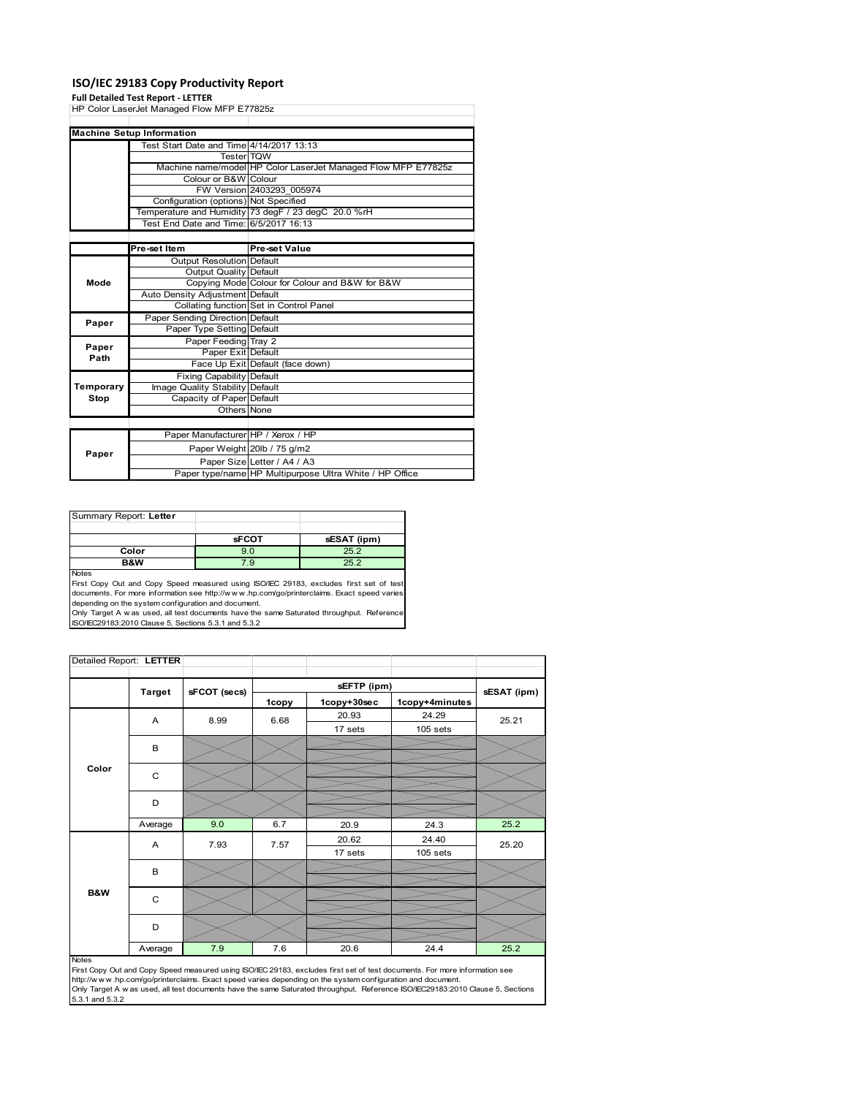### **ISO/IEC 29183 Copy Productivity Report**

#### **Full Detailed Test Report ‐ LETTER**

|           | Tun betailed Test Report - EETTER          |                                                               |  |  |  |
|-----------|--------------------------------------------|---------------------------------------------------------------|--|--|--|
|           | HP Color LaserJet Managed Flow MFP E77825z |                                                               |  |  |  |
|           |                                            |                                                               |  |  |  |
|           | <b>Machine Setup Information</b>           |                                                               |  |  |  |
|           | Test Start Date and Time 4/14/2017 13:13   |                                                               |  |  |  |
|           | Tester TOW                                 |                                                               |  |  |  |
|           |                                            | Machine name/model HP Color LaserJet Managed Flow MFP E77825z |  |  |  |
|           | Colour or B&W Colour                       |                                                               |  |  |  |
|           |                                            | FW Version 2403293 005974                                     |  |  |  |
|           | Configuration (options) Not Specified      |                                                               |  |  |  |
|           |                                            | Temperature and Humidity 73 degF / 23 degC 20.0 %rH           |  |  |  |
|           | Test End Date and Time: 6/5/2017 16:13     |                                                               |  |  |  |
|           |                                            |                                                               |  |  |  |
|           | Pre-set Item                               | Pre-set Value                                                 |  |  |  |
|           | <b>Output Resolution Default</b>           |                                                               |  |  |  |
| Mode      | Output Quality Default                     |                                                               |  |  |  |
|           |                                            | Copying Mode Colour for Colour and B&W for B&W                |  |  |  |
|           | Auto Density Adjustment Default            |                                                               |  |  |  |
|           |                                            | Collating function Set in Control Panel                       |  |  |  |
|           | Paper Sending Direction Default            |                                                               |  |  |  |
| Paper     | Paper Type Setting Default                 |                                                               |  |  |  |
|           | Paper Feeding Tray 2                       |                                                               |  |  |  |
| Paper     | Paper Exit Default                         |                                                               |  |  |  |
| Path      |                                            | Face Up Exit Default (face down)                              |  |  |  |
|           | <b>Fixing Capability Default</b>           |                                                               |  |  |  |
| Temporary | Image Quality Stability Default            |                                                               |  |  |  |
| Stop      | Capacity of Paper Default                  |                                                               |  |  |  |
|           | Others None                                |                                                               |  |  |  |
|           |                                            |                                                               |  |  |  |
|           | Paper Manufacturer HP / Xerox / HP         |                                                               |  |  |  |
|           |                                            | Paper Weight 20lb / 75 g/m2                                   |  |  |  |
| Paper     |                                            | Paper Size Letter / A4 / A3                                   |  |  |  |
|           |                                            | Paper type/name HP Multipurpose Ultra White / HP Office       |  |  |  |
|           |                                            |                                                               |  |  |  |

Summary Report: **Letter sFCOT sESAT (ipm) Color 125.2**<br>**B&W** 7.9 25.2 **B&W** 7.9 25.2 Notes

First Copy Out and Copy Speed measured using ISO/IEC 29183, excludes first set of test documents. For more information see http://w w w .hp.com/go/printerclaims. Exact speed varies

depending on the system configuration and document.<br>Only Target A w as used, all test documents have the same Saturated throughput. Reference<br>ISO/IEC29183:2010 Clause 5, Sections 5.3.1 and 5.3.2

| Detailed Report: LETTER |               |              |       |             |                |             |  |  |
|-------------------------|---------------|--------------|-------|-------------|----------------|-------------|--|--|
|                         | <b>Target</b> | sFCOT (secs) |       | sEFTP (ipm) |                |             |  |  |
|                         |               |              | 1copy | 1copy+30sec | 1copy+4minutes | sESAT (ipm) |  |  |
|                         | A             | 8.99         | 6.68  | 20.93       | 24.29          | 25.21       |  |  |
|                         |               |              |       | 17 sets     | 105 sets       |             |  |  |
|                         | B             |              |       |             |                |             |  |  |
|                         |               |              |       |             |                |             |  |  |
| Color                   | C             |              |       |             |                |             |  |  |
|                         | D             |              |       |             |                |             |  |  |
|                         |               |              |       |             |                |             |  |  |
|                         | Average       | 9.0          | 6.7   | 20.9        | 24.3           | 25.2        |  |  |
|                         | A             | 7.93         | 7.57  | 20.62       | 24.40          | 25.20       |  |  |
|                         |               |              |       | 17 sets     | $105$ sets     |             |  |  |
|                         | B             |              |       |             |                |             |  |  |
| <b>B&amp;W</b>          |               |              |       |             |                |             |  |  |
|                         | C             |              |       |             |                |             |  |  |
|                         | D             |              |       |             |                |             |  |  |
|                         | Average       | 7.9          | 7.6   | 20.6        | 24.4           | 25.2        |  |  |

#### Notes

First Copy Out and Copy Speed measured using ISO/IEC 29183, excludes first set of test documents. For more information see<br>http://w w w.hp.com/go/printerclaims. Exact speed varies depending on the system configuration and 5.3.1 and 5.3.2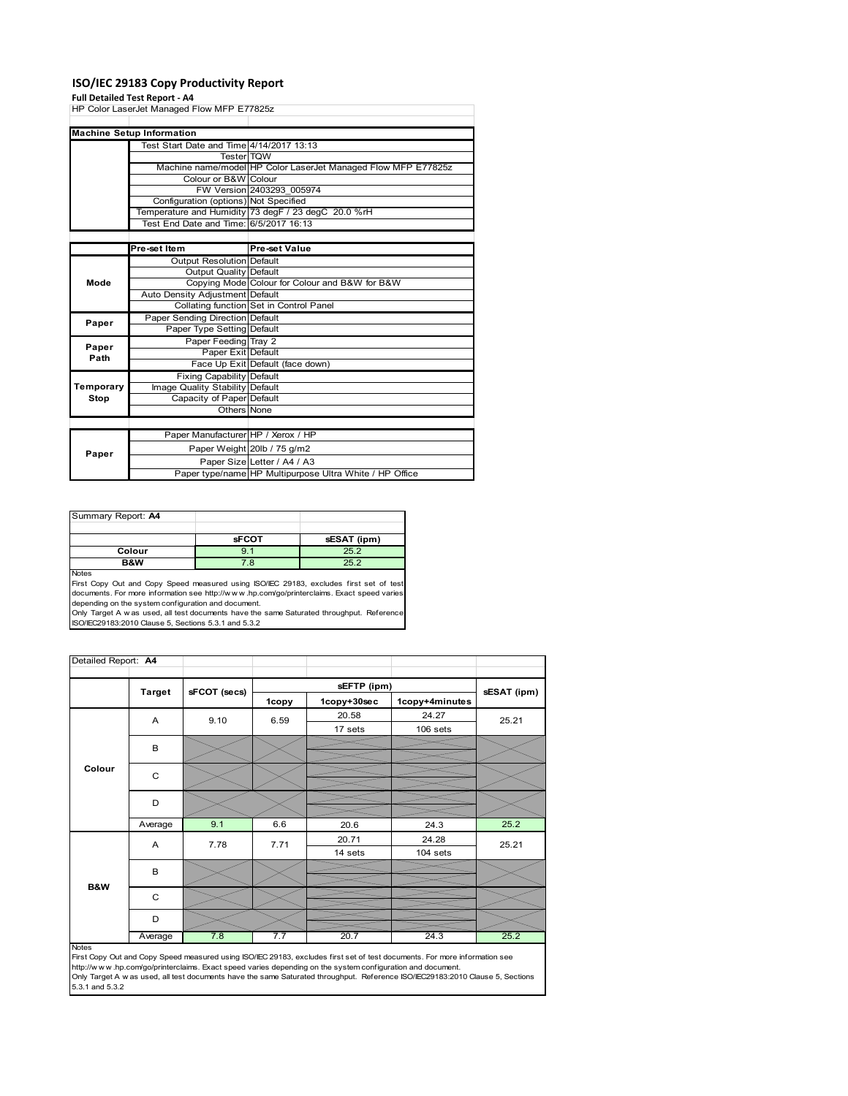### **ISO/IEC 29183 Copy Productivity Report**

#### **Full Detailed Test Report ‐ A4**

|               | HP Color LaserJet Managed Flow MFP E77825z |                                                               |
|---------------|--------------------------------------------|---------------------------------------------------------------|
|               |                                            |                                                               |
|               | <b>Machine Setup Information</b>           |                                                               |
|               | Test Start Date and Time 4/14/2017 13:13   |                                                               |
|               | Tester TQW                                 |                                                               |
|               |                                            | Machine name/model HP Color LaserJet Managed Flow MFP E77825z |
|               | Colour or B&W Colour                       |                                                               |
|               |                                            | FW Version 2403293 005974                                     |
|               | Configuration (options) Not Specified      |                                                               |
|               |                                            | Temperature and Humidity 73 degF / 23 degC 20.0 %rH           |
|               | Test End Date and Time: 6/5/2017 16:13     |                                                               |
|               |                                            |                                                               |
|               | Pre-set Item                               | Pre-set Value                                                 |
|               | <b>Output Resolution Default</b>           |                                                               |
| Mode          | Output Quality Default                     |                                                               |
|               |                                            | Copying Mode Colour for Colour and B&W for B&W                |
|               | Auto Density Adjustment Default            |                                                               |
|               |                                            | Collating function Set in Control Panel                       |
| Paper         | Paper Sending Direction Default            |                                                               |
|               | Paper Type Setting Default                 |                                                               |
|               | Paper Feeding Tray 2                       |                                                               |
| Paper<br>Path | Paper Exit Default                         |                                                               |
|               |                                            | Face Up Exit Default (face down)                              |
|               | <b>Fixing Capability Default</b>           |                                                               |
| Temporary     | Image Quality Stability Default            |                                                               |
| Stop          | Capacity of Paper Default                  |                                                               |
|               | Others None                                |                                                               |
|               |                                            |                                                               |
|               | Paper Manufacturer HP / Xerox / HP         |                                                               |
|               |                                            | Paper Weight 20lb / 75 g/m2                                   |
| Paper         |                                            | Paper Size Letter / A4 / A3                                   |
|               |                                            | Paper type/name HP Multipurpose Ultra White / HP Office       |

| Summary Report: A4 |              |             |
|--------------------|--------------|-------------|
|                    |              |             |
|                    | <b>sFCOT</b> | sESAT (ipm) |
| Colour             | 9.1          | 25.2        |
| B&W                | 7.8          | 25.2        |
| <b>Nickon</b>      |              |             |

Notes<br>First Copy Out and Copy Speed measured using ISO/IEC 29183, excludes first set of test<br>documents. For more information see http://www.hp.com/go/printerclaims. Exact speed varies<br>depending on the system configuration

| Detailed Report: A4 |               |              |       |                                              |          |       |  |  |
|---------------------|---------------|--------------|-------|----------------------------------------------|----------|-------|--|--|
|                     |               |              |       |                                              |          |       |  |  |
|                     | <b>Target</b> | sFCOT (secs) | 1copy | sEFTP (ipm)<br>1copy+30sec<br>1copy+4minutes |          |       |  |  |
|                     | A             | 9.10         | 6.59  | 20.58                                        | 24.27    | 25.21 |  |  |
|                     |               |              |       | 17 sets                                      | 106 sets |       |  |  |
|                     | B             |              |       |                                              |          |       |  |  |
| Colour              | C             |              |       |                                              |          |       |  |  |
|                     | D             |              |       |                                              |          |       |  |  |
|                     | Average       | 9.1          | 6.6   | 20.6                                         | 24.3     | 25.2  |  |  |
|                     | A             | 7.78         | 7.71  | 20.71                                        | 24.28    | 25.21 |  |  |
|                     |               |              |       | 14 sets                                      | 104 sets |       |  |  |
|                     | B             |              |       |                                              |          |       |  |  |
| <b>B&amp;W</b>      | C             |              |       |                                              |          |       |  |  |
|                     | D             |              |       |                                              |          |       |  |  |
|                     | Average       | 7.8          | 7.7   | 20.7                                         | 24.3     | 25.2  |  |  |

Average 7.8 7.7 20.7 24.3 25.2<br>
First Copy Out and Copy Speed measured using ISO/IEC 29183, excludes first set of test documents. For more information see<br>
First://www.hp.com/go/printerclaims. Exact speed varies depending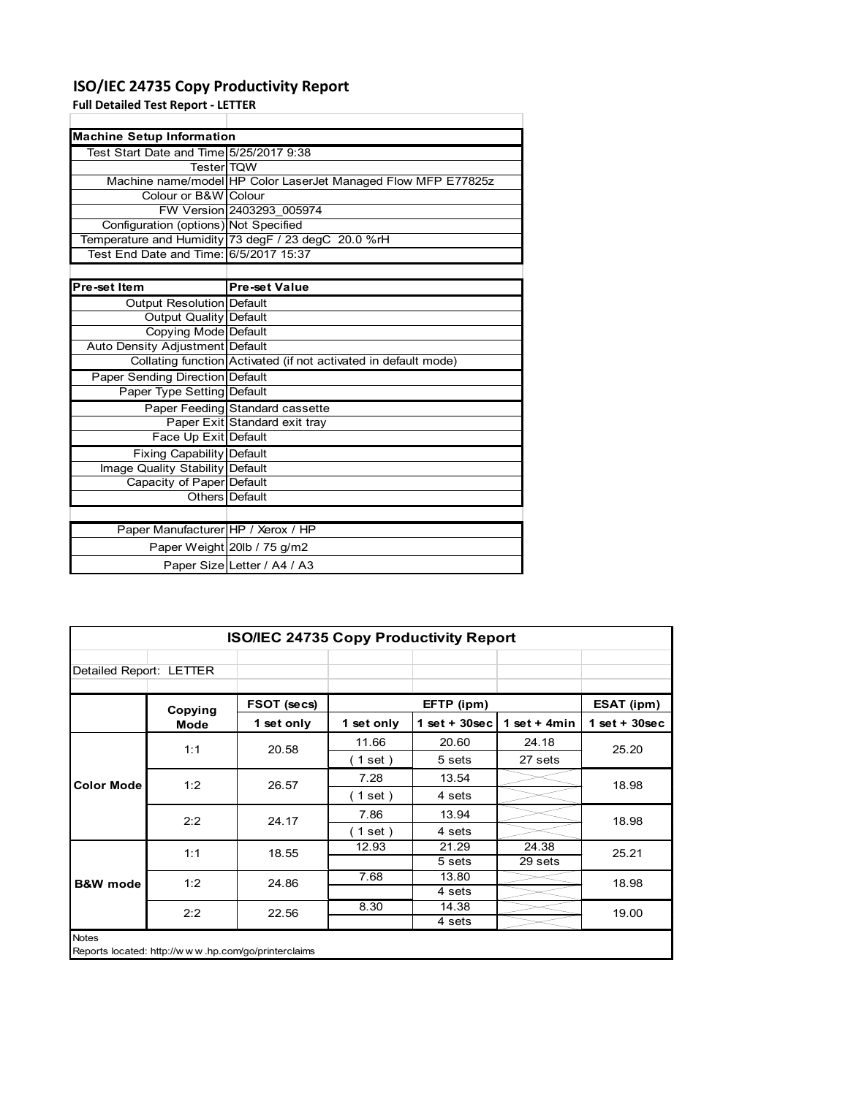## **ISO/IEC 24735 Copy Productivity Report**

**Full Detailed Test Report ‐ LETTER**

| <b>Machine Setup Information</b>        |                                                                 |
|-----------------------------------------|-----------------------------------------------------------------|
| Test Start Date and Time 5/25/2017 9:38 |                                                                 |
| <b>Tester</b> TOW                       |                                                                 |
|                                         | Machine name/model HP Color LaserJet Managed Flow MFP E77825z   |
| Colour or B&W Colour                    |                                                                 |
|                                         | FW Version 2403293 005974                                       |
| Configuration (options) Not Specified   |                                                                 |
|                                         | Temperature and Humidity 73 degF / 23 degC 20.0 %rH             |
| Test End Date and Time: 6/5/2017 15:37  |                                                                 |
|                                         |                                                                 |
| Pre-set Item                            | <b>Pre-set Value</b>                                            |
| <b>Output Resolution Default</b>        |                                                                 |
| Output Quality Default                  |                                                                 |
| Copying Mode Default                    |                                                                 |
| Auto Density Adjustment Default         |                                                                 |
|                                         | Collating function Activated (if not activated in default mode) |
| <b>Paper Sending Direction Default</b>  |                                                                 |
| Paper Type Setting Default              |                                                                 |
|                                         | Paper Feeding Standard cassette                                 |
|                                         | Paper Exit Standard exit tray                                   |
| Face Up Exit Default                    |                                                                 |
| <b>Fixing Capability Default</b>        |                                                                 |
| Image Quality Stability Default         |                                                                 |
| Capacity of Paper Default               |                                                                 |
|                                         | Others Default                                                  |
|                                         |                                                                 |
| Paper Manufacturer HP / Xerox / HP      |                                                                 |
|                                         | Paper Weight 20lb / 75 g/m2                                     |

Paper Size Letter / A4 / A3

| <b>ISO/IEC 24735 Copy Productivity Report</b> |                                                     |             |             |                 |                |                 |  |
|-----------------------------------------------|-----------------------------------------------------|-------------|-------------|-----------------|----------------|-----------------|--|
| Detailed Report: LETTER                       |                                                     |             |             |                 |                |                 |  |
|                                               | Copying                                             | FSOT (secs) |             | EFTP (ipm)      |                | ESAT (ipm)      |  |
|                                               | Mode                                                | 1 set only  | 1 set only  | $1$ set + 30sec | 1 set $+$ 4min | $1$ set + 30sec |  |
|                                               | 1:1                                                 | 20.58       | 11.66       | 20.60           | 24.18          | 25.20           |  |
|                                               |                                                     |             | $1$ set $)$ | 5 sets          | 27 sets        |                 |  |
| <b>Color Mode</b>                             | 1:2                                                 | 26.57       | 7.28        | 13.54           |                | 18.98           |  |
|                                               |                                                     |             | (1 set)     | 4 sets          |                |                 |  |
|                                               | 2:2                                                 | 24.17       | 7.86        | 13.94           |                | 18.98           |  |
|                                               |                                                     |             | 1 set)      | 4 sets          |                |                 |  |
|                                               | 1:1                                                 | 18.55       | 12.93       | 21.29           | 24.38          | 25.21           |  |
|                                               |                                                     |             |             | 5 sets          | 29 sets        |                 |  |
| <b>B&amp;W</b> mode                           | 1:2                                                 | 24.86       | 7.68        | 13.80           |                | 18.98           |  |
|                                               |                                                     |             |             | 4 sets          |                |                 |  |
|                                               | 2:2                                                 | 22.56       | 8.30        | 14.38           |                | 19.00           |  |
|                                               |                                                     |             |             | 4 sets          |                |                 |  |
| <b>Notes</b>                                  | Reports located: http://www.hp.com/go/printerclaims |             |             |                 |                |                 |  |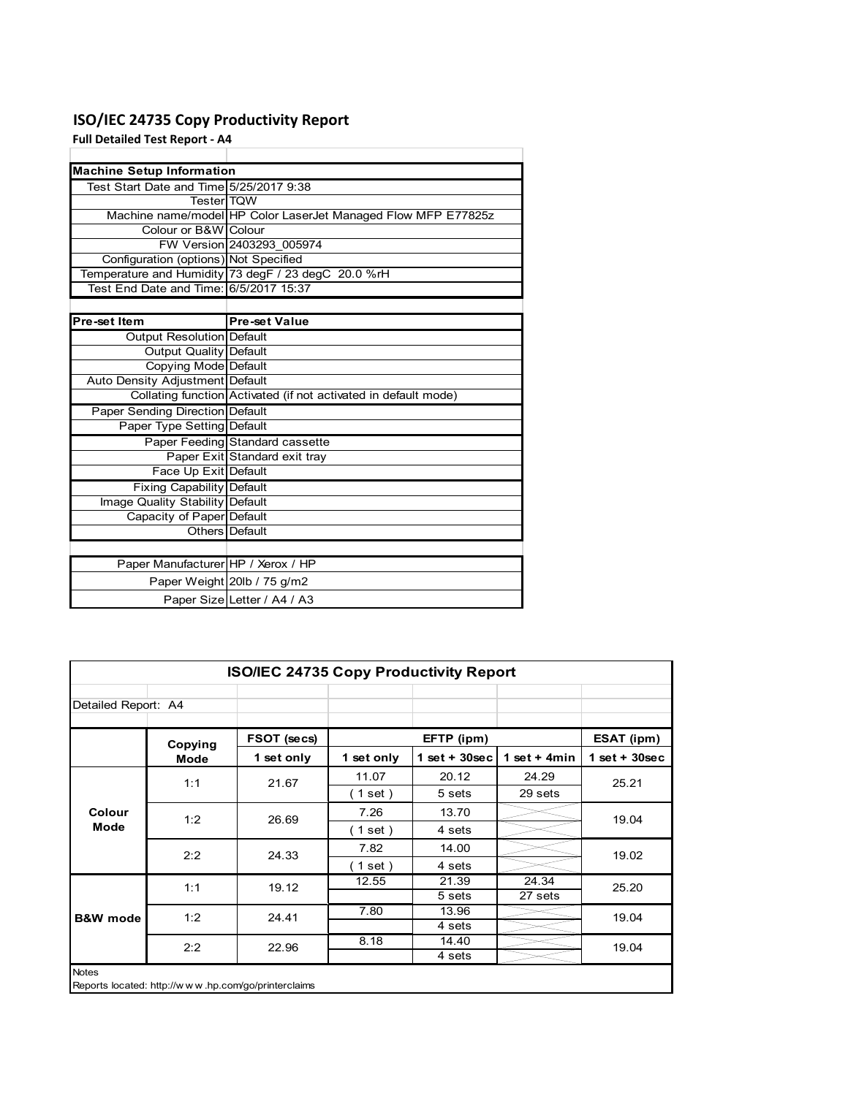## **ISO/IEC 24735 Copy Productivity Report**

**Full Detailed Test Report ‐ A4**

| <b>Machine Setup Information</b>        |                                                                 |
|-----------------------------------------|-----------------------------------------------------------------|
| Test Start Date and Time 5/25/2017 9:38 |                                                                 |
| <b>TesterITQW</b>                       |                                                                 |
|                                         | Machine name/model HP Color LaserJet Managed Flow MFP E77825z   |
| Colour or B&W Colour                    |                                                                 |
|                                         | FW Version 2403293 005974                                       |
| Configuration (options) Not Specified   |                                                                 |
|                                         | Temperature and Humidity 73 degF / 23 degC 20.0 %rH             |
| Test End Date and Time: 6/5/2017 15:37  |                                                                 |
|                                         |                                                                 |
| Pre-set Item                            | <b>Pre-set Value</b>                                            |
| Output Resolution Default               |                                                                 |
| <b>Output Quality Default</b>           |                                                                 |
| Copying Mode Default                    |                                                                 |
| Auto Density Adjustment Default         |                                                                 |
|                                         | Collating function Activated (if not activated in default mode) |
| Paper Sending Direction Default         |                                                                 |
| Paper Type Setting Default              |                                                                 |
|                                         | Paper Feeding Standard cassette                                 |
|                                         | Paper Exit Standard exit tray                                   |
| Face Up Exit Default                    |                                                                 |
| <b>Fixing Capability Default</b>        |                                                                 |
| Image Quality Stability Default         |                                                                 |
| Capacity of Paper Default               |                                                                 |
|                                         | Others   Default                                                |
|                                         |                                                                 |
| Paper Manufacturer HP / Xerox / HP      |                                                                 |
|                                         | Paper Weight 20lb / 75 g/m2                                     |
|                                         | Paper Size Letter / A4 / A3                                     |

| <b>ISO/IEC 24735 Copy Productivity Report</b> |                                                     |             |                          |                 |                 |                 |  |  |
|-----------------------------------------------|-----------------------------------------------------|-------------|--------------------------|-----------------|-----------------|-----------------|--|--|
| Detailed Report: A4                           |                                                     |             |                          |                 |                 |                 |  |  |
|                                               | Copying                                             | FSOT (secs) |                          | EFTP (ipm)      |                 | ESAT (ipm)      |  |  |
|                                               | <b>Mode</b>                                         | 1 set only  | 1 set only               | $1$ set + 30sec | 1 set + 4 $min$ | $1$ set + 30sec |  |  |
|                                               | 1:1                                                 | 21.67       | 11.07                    | 20.12           | 24.29           | 25.21           |  |  |
|                                               |                                                     |             | (1 set)                  | 5 sets          | 29 sets         |                 |  |  |
| Colour                                        | 1:2                                                 | 26.69       | 7.26                     | 13.70           |                 | 19.04           |  |  |
| Mode                                          |                                                     |             | (1 set)                  | 4 sets          |                 |                 |  |  |
|                                               | 2:2                                                 | 24.33       | 7.82                     | 14.00           |                 | 19.02           |  |  |
|                                               |                                                     |             | $\left( 1$ set $\right)$ | 4 sets          |                 |                 |  |  |
|                                               | 1:1                                                 | 19.12       | 12.55                    | 21.39           | 24.34           | 25.20           |  |  |
|                                               |                                                     |             |                          | 5 sets          | 27 sets         |                 |  |  |
| <b>B&amp;W</b> mode                           | 1:2                                                 | 24.41       | 7.80                     | 13.96           |                 | 19.04           |  |  |
|                                               |                                                     |             |                          | 4 sets          |                 |                 |  |  |
|                                               | 2:2                                                 | 22.96       | 8.18                     | 14.40           |                 | 19.04           |  |  |
|                                               |                                                     |             |                          | 4 sets          |                 |                 |  |  |
| <b>Notes</b>                                  | Reports located: http://www.hp.com/go/printerclaims |             |                          |                 |                 |                 |  |  |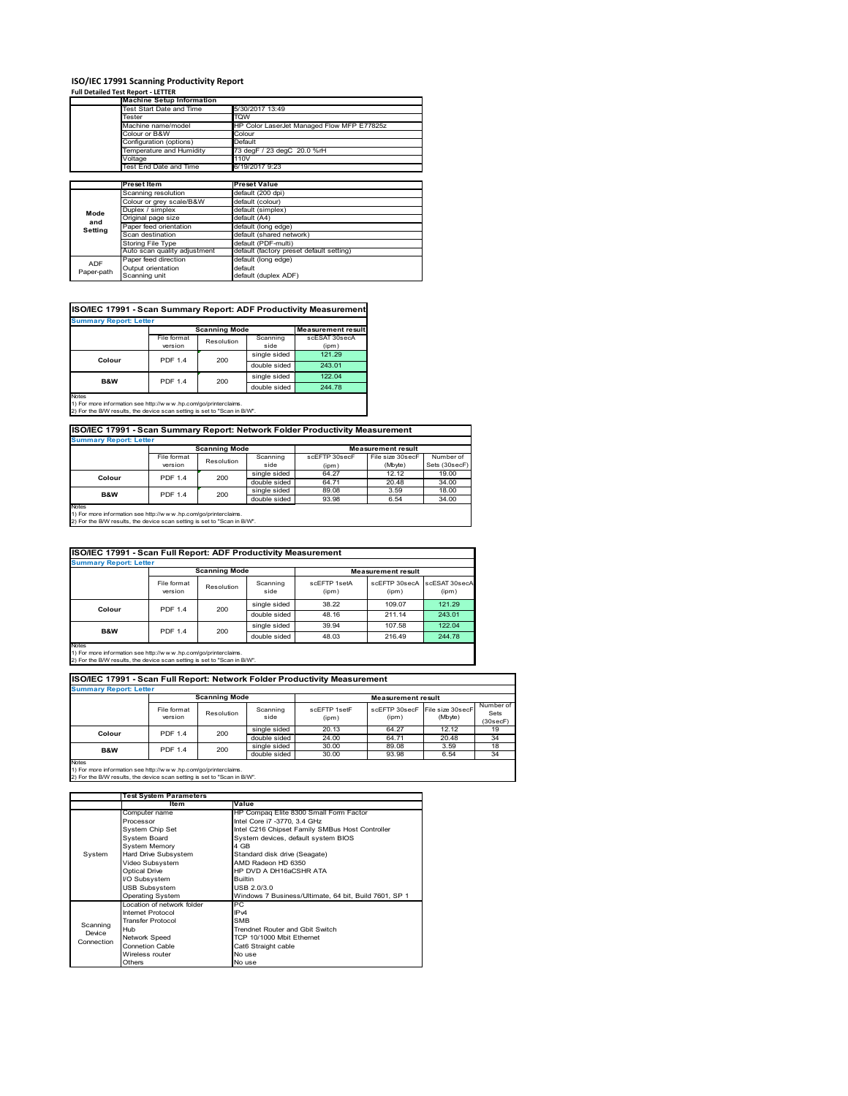# **ISO/IEC 17991 Scanning Productivity Report Full Detailed Test Report ‐ LETTER Machine Setup Information**

|            | <b>Machine Setup Information</b> |                                            |
|------------|----------------------------------|--------------------------------------------|
|            | Fest Start Date and Time         | 5/30/2017 13:49                            |
|            | Tester                           | TQW                                        |
|            | Machine name/model               | HP Color LaserJet Managed Flow MFP E77825z |
|            | Colour or B&W                    | Colour                                     |
|            | Configuration (options)          | Default                                    |
|            | Temperature and Humidity         | 73 degF / 23 degC 20.0 %rH                 |
|            | Voltage                          | 110V                                       |
|            | Test End Date and Time           | 6/19/2017 9:23                             |
|            |                                  |                                            |
|            | <b>Preset Item</b>               | <b>Preset Value</b>                        |
|            | Scanning resolution              | default (200 dpi)                          |
|            | Colour or grey scale/B&W         | default (colour)                           |
| Mode       | Duplex / simplex                 | default (simplex)                          |
| and        | Original page size               | default (A4)                               |
|            | Paper feed orientation           | default (long edge)                        |
| Setting    | Scan destination                 | default (shared network)                   |
|            | <b>Storing File Type</b>         | default (PDF-multi)                        |
|            | Auto scan quality adjustment     | default (factory preset default setting)   |
|            | Paper feed direction             | default (long edge)                        |
| <b>ADF</b> | Output orientation               | default                                    |
| Paper-path | Scanning unit                    | default (duplex ADF)                       |

| ISO/IEC 17991 - Scan Summary Report: ADF Productivity Measurement |                |                        |              |                           |  |  |  |
|-------------------------------------------------------------------|----------------|------------------------|--------------|---------------------------|--|--|--|
| <b>Summary Report: Letter</b>                                     |                |                        |              |                           |  |  |  |
|                                                                   |                | <b>Scanning Mode</b>   |              | <b>Measurement result</b> |  |  |  |
|                                                                   | File format    | Scanning<br>Resolution |              | scESAT 30secA             |  |  |  |
|                                                                   | version        |                        | side         | (ipm)                     |  |  |  |
| Colour                                                            | <b>PDF 1.4</b> | 200                    | single sided | 121.29                    |  |  |  |
|                                                                   |                |                        | double sided | 243.01                    |  |  |  |
| <b>B&amp;W</b>                                                    | <b>PDF 1.4</b> | 200                    | single sided | 122.04                    |  |  |  |
|                                                                   |                |                        | double sided | 244.78                    |  |  |  |
| <b>Notes</b>                                                      |                |                        |              |                           |  |  |  |

Notes 1) For more information see http://w w w .hp.com/go/printerclaims. 2) For the B/W results, the device scan setting is set to "Scan in B/W".

**ISO/IEC 17991 - Scan Summary Report: Network Folder Productivity Measurement**

| <b>Summary Report: Letter</b> |                          |            |              |                           |                  |               |
|-------------------------------|--------------------------|------------|--------------|---------------------------|------------------|---------------|
|                               | <b>Scanning Mode</b>     |            |              | <b>Measurement result</b> |                  |               |
|                               | File format              | Resolution | Scanning     | scEFTP 30secF             | File size 30secF | Number of     |
|                               | version                  |            | side         | (ipm)                     | (Mbyte)          | Sets (30secF) |
|                               | <b>PDF 1.4</b><br>Colour | 200        | single sided | 64.27                     | 12.12            | 19.00         |
|                               |                          |            | double sided | 64.71                     | 20.48            | 34.00         |
| B&W                           | <b>PDF 1.4</b>           | 200        | single sided | 89.08                     | 3.59             | 18.00         |
|                               |                          |            | double sided | 93.98                     | 6.54             | 34.00         |
| <b>Notes</b>                  |                          |            |              |                           |                  |               |

┓

Notes 1) For more information see http://w w w .hp.com/go/printerclaims. 2) For the B/W results, the device scan setting is set to "Scan in B/W".

|                               | ISO/IEC 17991 - Scan Full Report: ADF Productivity Measurement |                       |                  |                       |                           |                        |  |
|-------------------------------|----------------------------------------------------------------|-----------------------|------------------|-----------------------|---------------------------|------------------------|--|
| <b>Summary Report: Letter</b> |                                                                |                       |                  |                       |                           |                        |  |
|                               | <b>Scanning Mode</b>                                           |                       |                  |                       | <b>Measurement result</b> |                        |  |
|                               | File format<br>version                                         | Resolution            | Scanning<br>side | scFFTP 1setA<br>(ipm) | scEETP 30secA<br>(ipm)    | scESAT 30secA<br>(ipm) |  |
| Colour                        |                                                                | <b>PDF 1.4</b><br>200 | single sided     | 38.22                 | 109.07                    | 121.29                 |  |
|                               |                                                                |                       | double sided     | 48.16                 | 211.14                    | 243.01                 |  |
| <b>B&amp;W</b>                | <b>PDF 1.4</b>                                                 | 200                   | single sided     | 39.94                 | 107.58                    | 122.04                 |  |
|                               |                                                                |                       | double sided     | 48.03                 | 216.49                    | 244.78                 |  |
| <b>Notes</b>                  |                                                                |                       |                  |                       |                           |                        |  |

Notes 1) For more information see http://w w w .hp.com/go/printerclaims. 2) For the B/W results, the device scan setting is set to "Scan in B/W".

| ISO/IEC 17991 - Scan Full Report: Network Folder Productivity Measurement |                               |            |                           |                       |                        |                             |                               |
|---------------------------------------------------------------------------|-------------------------------|------------|---------------------------|-----------------------|------------------------|-----------------------------|-------------------------------|
|                                                                           | <b>Summary Report: Letter</b> |            |                           |                       |                        |                             |                               |
| <b>Scanning Mode</b>                                                      |                               |            | <b>Measurement result</b> |                       |                        |                             |                               |
|                                                                           | File format<br>version        | Resolution | Scanning<br>side          | scFFTP 1setF<br>(ipm) | scEFTP 30secF<br>(ipm) | File size 30secF<br>(Mbyte) | Number of<br>Sets<br>(30secF) |
| Colour                                                                    | <b>PDF 1.4</b>                | 200        | single sided              | 20.13                 | 64.27                  | 12.12                       | 19                            |
|                                                                           |                               |            | double sided              | 24.00                 | 64.71                  | 20.48                       | 34                            |
| <b>B&amp;W</b>                                                            | <b>PDF 1.4</b>                | 200        | single sided              | 30.00                 | 89.08                  | 3.59                        | 18                            |
|                                                                           |                               |            | double sided              | 30.00                 | 93.98                  | 6.54                        | 34                            |
| <b>Notes</b>                                                              |                               |            |                           |                       |                        |                             |                               |

|            | <b>Test System Parameters</b> |                                                       |  |  |
|------------|-------------------------------|-------------------------------------------------------|--|--|
|            | Item                          | Value                                                 |  |  |
|            | Computer name                 | HP Compaq Elite 8300 Small Form Factor                |  |  |
|            | Processor                     | Intel Core i7 -3770, 3.4 GHz                          |  |  |
|            | System Chip Set               | Intel C216 Chipset Family SMBus Host Controller       |  |  |
|            | <b>System Board</b>           | System devices, default system BIOS                   |  |  |
|            | <b>System Memory</b>          | 4 GB                                                  |  |  |
| System     | Hard Drive Subsystem          | Standard disk drive (Seagate)                         |  |  |
|            | Video Subsystem               | AMD Radeon HD 6350                                    |  |  |
|            | Optical Drive                 | HP DVD A DH16aCSHR ATA                                |  |  |
|            | I/O Subsystem                 | <b>Builtin</b>                                        |  |  |
|            | <b>USB Subsystem</b>          | USB 2.0/3.0                                           |  |  |
|            | Operating System              | Windows 7 Business/Ultimate, 64 bit, Build 7601, SP 1 |  |  |
|            | I ocation of network folder   | PC                                                    |  |  |
|            | Internet Protocol             | IP <sub>v4</sub>                                      |  |  |
| Scanning   | <b>Transfer Protocol</b>      | <b>SMB</b>                                            |  |  |
| Device     | Hub                           | Trendnet Router and Gbit Switch                       |  |  |
| Connection | Network Speed                 | TCP 10/1000 Mbit Ethernet                             |  |  |
|            | <b>Connetion Cable</b>        | Cat6 Straight cable                                   |  |  |
|            | Wireless router               | No use                                                |  |  |
|            | Others                        | No use                                                |  |  |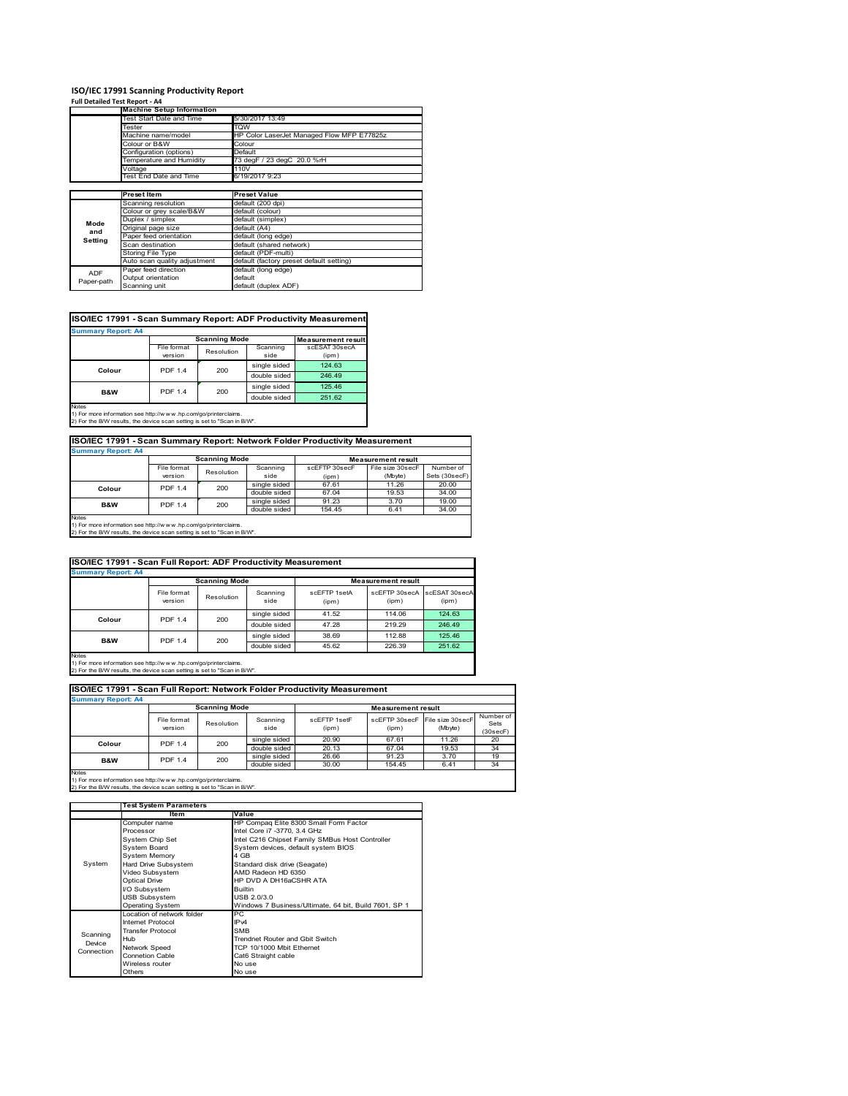#### **ISO/IEC 17991 Scanning Productivity Report Full Detailed Test Report ‐ A4**

| $1.911$ Decenical restriction to $7.77$ |                                  |                                            |
|-----------------------------------------|----------------------------------|--------------------------------------------|
|                                         | <b>Machine Setup Information</b> |                                            |
|                                         | <b>Test Start Date and Time</b>  | 5/30/2017 13:49                            |
|                                         | Tester                           | TQW                                        |
|                                         | Machine name/model               | HP Color LaserJet Managed Flow MFP E77825z |
|                                         | Colour or B&W                    | Colour                                     |
|                                         | Configuration (options)          | Default                                    |
|                                         | Temperature and Humidity         | 73 degF / 23 degC 20.0 %rH                 |
|                                         | Voltage                          | 110V                                       |
|                                         | Test End Date and Time           | 6/19/2017 9:23                             |
|                                         |                                  |                                            |
|                                         | <b>Preset Item</b>               | <b>Preset Value</b>                        |
|                                         | Scanning resolution              | default (200 dpi)                          |
|                                         | Colour or grey scale/B&W         | default (colour)                           |
| Mode                                    | Duplex / simplex                 | default (simplex)                          |
| and                                     | Original page size               | default (A4)                               |
| Setting                                 | Paper feed orientation           | default (long edge)                        |
|                                         | Scan destination                 | default (shared network)                   |
|                                         | Storing File Type                | default (PDF-multi)                        |
|                                         | Auto scan quality adjustment     | default (factory preset default setting)   |
| <b>ADF</b>                              | Paper feed direction             | default (long edge)                        |
| Paper-path                              | Output orientation               | default                                    |
|                                         | Scanning unit                    | default (duplex ADF)                       |

## **ISO/IEC 17991 - Scan Summary Report: ADF Productivity Measurement**

| <b>Summary Report: A4</b> |                        |                      |                  |                           |  |  |
|---------------------------|------------------------|----------------------|------------------|---------------------------|--|--|
|                           |                        | <b>Scanning Mode</b> |                  | <b>Measurement result</b> |  |  |
|                           | File format<br>version | Resolution           | Scanning<br>side | scESAT 30secA<br>(ipm)    |  |  |
| Colour                    | <b>PDF 1.4</b>         | 200                  | single sided     | 124.63                    |  |  |
|                           |                        |                      | double sided     | 246.49                    |  |  |
| B&W                       | <b>PDF 1.4</b>         | 200                  | single sided     | 125.46                    |  |  |
|                           |                        |                      | double sided     | 251.62                    |  |  |
| <b>Notes</b>              |                        |                      |                  |                           |  |  |

1) For more information see http://w w w .hp.com/go/printerclaims. 2) For the B/W results, the device scan setting is set to "Scan in B/W".

## **ISO/IEC 17991 - Scan Summary Report: Network Folder Productivity Measurement Summary Report: A4**

| <b>JUILLIALY REDUIL AT</b> |                |                      |              |                           |                  |               |
|----------------------------|----------------|----------------------|--------------|---------------------------|------------------|---------------|
|                            |                | <b>Scanning Mode</b> |              | <b>Measurement result</b> |                  |               |
|                            | File format    | Resolution           | Scanning     | scEFTP 30secF             | File size 30secF | Number of     |
|                            | version        |                      | side         | (ipm)                     | (Mbyte)          | Sets (30secF) |
| Colour                     | <b>PDF 1.4</b> | 200                  | single sided | 67.61                     | 11.26            | 20.00         |
|                            |                |                      | double sided | 67.04                     | 19.53            | 34.00         |
| <b>B&amp;W</b>             | <b>PDF 1.4</b> | 200                  | single sided | 91.23                     | 3.70             | 19.00         |
|                            |                |                      | double sided | 154.45                    | 6.41             | 34.00         |
| <b>Notes</b>               |                |                      |              |                           |                  |               |

Notes 1) For more information see http://w w w .hp.com/go/printerclaims. 2) For the B/W results, the device scan setting is set to "Scan in B/W".

| ISO/IEC 17991 - Scan Full Report: ADF Productivity Measurement |                        |            |                  |                           |                        |                        |
|----------------------------------------------------------------|------------------------|------------|------------------|---------------------------|------------------------|------------------------|
| <b>Summary Report: A4</b>                                      |                        |            |                  |                           |                        |                        |
|                                                                | <b>Scanning Mode</b>   |            |                  | <b>Measurement result</b> |                        |                        |
|                                                                | File format<br>version | Resolution | Scanning<br>side | scFFTP 1setA<br>(ipm)     | scEFTP 30secA<br>(ipm) | scESAT 30secA<br>(ipm) |
| <b>PDF 1.4</b><br>Colour                                       |                        | 200        | single sided     | 41.52                     | 114.06                 | 124.63                 |
|                                                                |                        |            | double sided     | 47.28                     | 219.29                 | 246.49                 |
| <b>B&amp;W</b>                                                 | <b>PDF 1.4</b>         |            | single sided     | 38.69                     | 112.88                 | 125.46                 |
|                                                                | 200                    |            | double sided     | 45.62                     | 226.39                 | 251.62                 |
| Notes                                                          |                        |            |                  |                           |                        |                        |

Notes 1) For more information see http://w w w .hp.com/go/printerclaims. 2) For the B/W results, the device scan setting is set to "Scan in B/W".

| ISO/IEC 17991 - Scan Full Report: Network Folder Productivity Measurement |                        |            |                  |                       |                                         |         |                               |
|---------------------------------------------------------------------------|------------------------|------------|------------------|-----------------------|-----------------------------------------|---------|-------------------------------|
| <b>Summary Report: A4</b>                                                 |                        |            |                  |                       |                                         |         |                               |
| <b>Scanning Mode</b><br><b>Measurement result</b>                         |                        |            |                  |                       |                                         |         |                               |
|                                                                           | File format<br>version | Resolution | Scanning<br>side | scFFTP 1setF<br>(ipm) | scEFTP 30secF File size 30secF<br>(ipm) | (Mbyte) | Number of<br>Sets<br>(30secF) |
| Colour                                                                    | <b>PDF 1.4</b>         | 200        | single sided     | 20.90                 | 67.61                                   | 11.26   | 20                            |
|                                                                           |                        |            | double sided     | 20.13                 | 67.04                                   | 19.53   | 34                            |
| <b>B&amp;W</b>                                                            | <b>PDF 1.4</b>         | 200        | single sided     | 26.66                 | 91.23                                   | 3.70    | 19                            |
|                                                                           |                        |            | double sided     | 30.00                 | 154.45                                  | 6.41    | 34                            |
| <b>Notes</b>                                                              |                        |            |                  |                       |                                         |         |                               |

|            | <b>Test System Parameters</b> |                                                       |
|------------|-------------------------------|-------------------------------------------------------|
|            | Item                          | Value                                                 |
|            | Computer name                 | HP Compaq Elite 8300 Small Form Factor                |
|            | Processor                     | Intel Core i7 -3770, 3.4 GHz                          |
|            | System Chip Set               | Intel C216 Chipset Family SMBus Host Controller       |
|            | <b>System Board</b>           | System devices, default system BIOS                   |
|            | <b>System Memory</b>          | 4 GB                                                  |
| System     | Hard Drive Subsystem          | Standard disk drive (Seagate)                         |
|            | Video Subsystem               | AMD Radeon HD 6350                                    |
|            | <b>Optical Drive</b>          | HP DVD A DH16aCSHR ATA                                |
|            | I/O Subsystem                 | <b>Builtin</b>                                        |
|            | <b>USB Subsystem</b>          | USB 2.0/3.0                                           |
|            | <b>Operating System</b>       | Windows 7 Business/Ultimate, 64 bit, Build 7601, SP 1 |
|            | I ocation of network folder   | РC                                                    |
|            | <b>Internet Protocol</b>      | IP <sub>v4</sub>                                      |
| Scanning   | <b>Transfer Protocol</b>      | <b>SMB</b>                                            |
| Device     | Hub                           | Trendnet Router and Gbit Switch                       |
| Connection | Network Speed                 | TCP 10/1000 Mbit Ethernet                             |
|            | <b>Connetion Cable</b>        | Cat6 Straight cable                                   |
|            | Wireless router               | No use                                                |
|            | Others                        | No use                                                |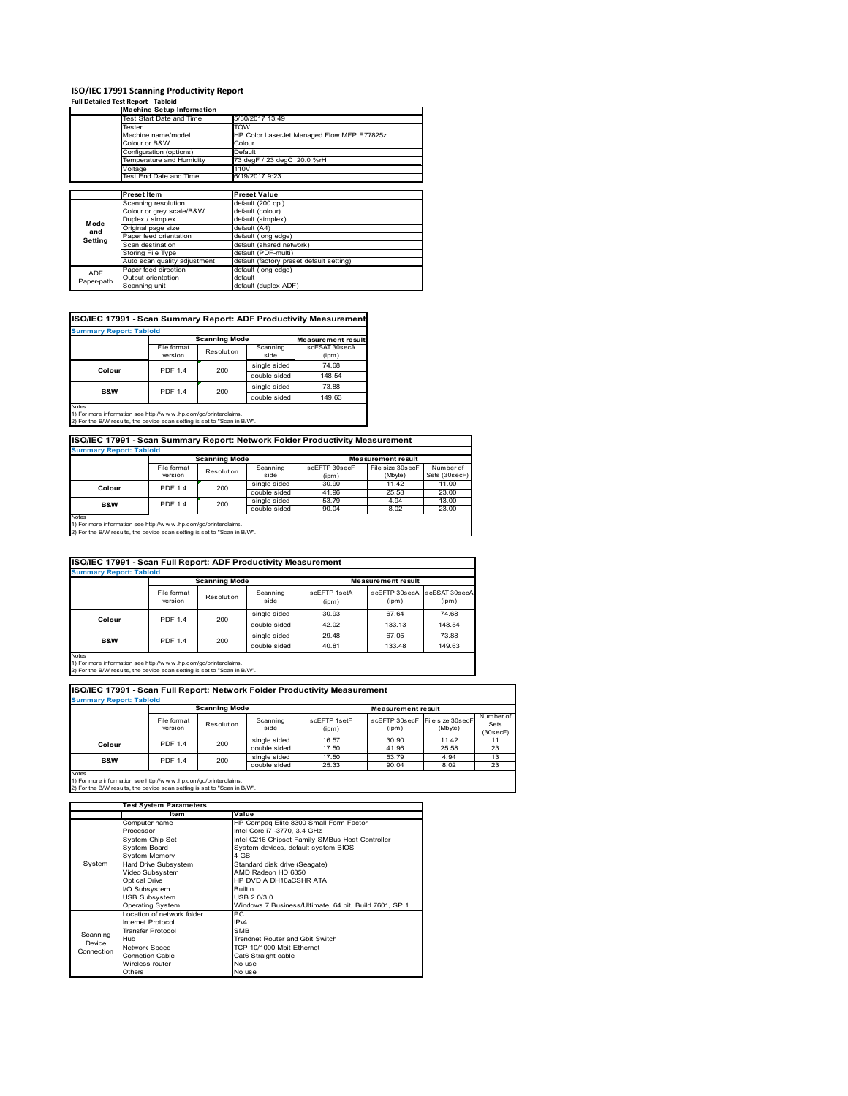## **ISO/IEC 17991 Scanning Productivity Report**

**Full Detailed Test Report ‐ Tabloid**

|            | <b>Machine Setup Information</b> |                                            |  |  |  |
|------------|----------------------------------|--------------------------------------------|--|--|--|
|            | Test Start Date and Time         | 5/30/2017 13:49                            |  |  |  |
|            | Tester                           | <b>TQW</b>                                 |  |  |  |
|            | Machine name/model               | HP Color LaserJet Managed Flow MFP E77825z |  |  |  |
|            | Colour or B&W                    | Colour                                     |  |  |  |
|            | Configuration (options)          | Default                                    |  |  |  |
|            | Temperature and Humidity         | 73 degF / 23 degC 20.0 %rH                 |  |  |  |
|            | Voltage                          | 110V                                       |  |  |  |
|            | Test End Date and Time           | 6/19/2017 9:23                             |  |  |  |
|            |                                  |                                            |  |  |  |
|            | <b>Preset Item</b>               | <b>Preset Value</b>                        |  |  |  |
|            | Scanning resolution              | default (200 dpi)                          |  |  |  |
|            | Colour or grey scale/B&W         | default (colour)                           |  |  |  |
| Mode       | Duplex / simplex                 | default (simplex)                          |  |  |  |
| and        | Original page size               | default (A4)                               |  |  |  |
| Setting    | Paper feed orientation           | default (long edge)                        |  |  |  |
|            | Scan destination                 | default (shared network)                   |  |  |  |
|            | <b>Storing File Type</b>         | default (PDF-multi)                        |  |  |  |
|            | Auto scan quality adjustment     | default (factory preset default setting)   |  |  |  |
| ADF        | Paper feed direction             | default (long edge)                        |  |  |  |
|            | Output orientation               | default                                    |  |  |  |
| Paper-path | Scanning unit                    | default (duplex ADF)                       |  |  |  |

## **ISO/IEC 17991 - Scan Summary Report: ADF Productivity Measurement**

| <b>Summary Report: Tabloid</b> |                        |                      |                  |                           |  |
|--------------------------------|------------------------|----------------------|------------------|---------------------------|--|
|                                |                        | <b>Scanning Mode</b> |                  | <b>Measurement result</b> |  |
|                                | File format<br>version | Resolution           | Scanning<br>side | scESAT 30secA<br>(ipm)    |  |
| Colour                         | <b>PDF 1.4</b>         |                      | single sided     | 74.68                     |  |
|                                |                        | 200                  | double sided     | 148.54                    |  |
| <b>B&amp;W</b>                 | <b>PDF 1.4</b>         | 200                  | single sided     | 73.88                     |  |
|                                |                        |                      | double sided     | 149.63                    |  |
| Notes                          |                        |                      |                  |                           |  |

Notes 1) For more information see http://w w w .hp.com/go/printerclaims. 2) For the B/W results, the device scan setting is set to "Scan in B/W".

## **ISO/IEC 17991 - Scan Summary Report: Network Folder Productivity Measurement**

| <b>Summary Report: Tabloid</b> |                                 |            |              |                           |                  |               |
|--------------------------------|---------------------------------|------------|--------------|---------------------------|------------------|---------------|
|                                | <b>Scanning Mode</b>            |            |              | <b>Measurement result</b> |                  |               |
|                                | File format                     | Resolution | Scanning     | scEFTP 30secF             | File size 30secF | Number of     |
|                                | version                         |            | side         | (ipm)                     | (Mbyte)          | Sets (30secF) |
|                                | 200<br><b>PDF 1.4</b><br>Colour |            | single sided | 30.90                     | 11.42            | 11.00         |
|                                |                                 |            | double sided | 41.96                     | 25.58            | 23.00         |
| <b>B&amp;W</b>                 | 200<br><b>PDF 1.4</b>           |            | single sided | 53.79                     | 4.94             | 13.00         |
|                                |                                 |            | double sided | 90.04                     | 8.02             | 23.00         |
| Notes                          |                                 |            |              |                           |                  |               |

Notes 1) For more information see http://w w w .hp.com/go/printerclaims. 2) For the B/W results, the device scan setting is set to "Scan in B/W".

| <b>ISO/IEC 17991 - Scan Full Report: ADF Productivity Measurement</b> |                        |              |                  |                       |                                      |        |  |
|-----------------------------------------------------------------------|------------------------|--------------|------------------|-----------------------|--------------------------------------|--------|--|
| <b>Summary Report: Tabloid</b>                                        |                        |              |                  |                       |                                      |        |  |
|                                                                       | <b>Scanning Mode</b>   |              |                  |                       | <b>Measurement result</b>            |        |  |
|                                                                       | File format<br>version | Resolution   | Scanning<br>side | scFFTP 1setA<br>(ipm) | scEFTP 30secA scESAT 30secA<br>(ipm) | (ipm)  |  |
| Colour                                                                | <b>PDF 1.4</b>         | 200          | single sided     | 30.93                 | 67.64                                | 74.68  |  |
|                                                                       |                        |              | double sided     | 42.02                 | 133.13                               | 148.54 |  |
| <b>B&amp;W</b><br><b>PDF 1.4</b>                                      |                        | single sided | 29.48            | 67.05                 | 73.88                                |        |  |
|                                                                       |                        | 200          | double sided     | 40.81                 | 133.48                               | 149.63 |  |
| Notes                                                                 |                        |              |                  |                       |                                      |        |  |

Notes 1) For more information see http://w w w .hp.com/go/printerclaims. 2) For the B/W results, the device scan setting is set to "Scan in B/W".

| ISO/IEC 17991 - Scan Full Report: Network Folder Productivity Measurement |                        |            |                  |                       |                                         |         |                               |
|---------------------------------------------------------------------------|------------------------|------------|------------------|-----------------------|-----------------------------------------|---------|-------------------------------|
| <b>Summary Report: Tabloid</b>                                            |                        |            |                  |                       |                                         |         |                               |
| <b>Scanning Mode</b><br><b>Measurement result</b>                         |                        |            |                  |                       |                                         |         |                               |
|                                                                           | File format<br>version | Resolution | Scanning<br>side | scEFTP 1setF<br>(ipm) | scEFTP 30secF File size 30secF<br>(ipm) | (Mbyte) | Number of<br>Sets<br>(30secF) |
| Colour                                                                    | <b>PDF 1.4</b>         | 200        | single sided     | 16.57                 | 30.90                                   | 11.42   | 11                            |
|                                                                           |                        |            | double sided     | 17.50                 | 41.96                                   | 25.58   | 23                            |
| <b>B&amp;W</b>                                                            | <b>PDF 1.4</b>         | 200        | single sided     | 17.50                 | 53.79                                   | 4.94    | 13                            |
|                                                                           |                        |            | double sided     | 25.33                 | 90.04                                   | 8.02    | 23                            |
| <b>Notes</b>                                                              |                        |            |                  |                       |                                         |         |                               |

|            | <b>Test System Parameters</b> |                                                       |
|------------|-------------------------------|-------------------------------------------------------|
|            | Item                          | Value                                                 |
|            | Computer name                 | HP Compaq Elite 8300 Small Form Factor                |
|            | Processor                     | Intel Core i7 -3770, 3.4 GHz                          |
|            | <b>System Chip Set</b>        | Intel C216 Chipset Family SMBus Host Controller       |
|            | <b>System Board</b>           | System devices, default system BIOS                   |
|            | <b>System Memory</b>          | 4 GB                                                  |
| System     | Hard Drive Subsystem          | Standard disk drive (Seagate)                         |
|            | Video Subsystem               | AMD Radeon HD 6350                                    |
|            | <b>Optical Drive</b>          | HP DVD A DH16aCSHR ATA                                |
|            | I/O Subsystem                 | <b>Builtin</b>                                        |
|            | <b>USB Subsystem</b>          | USB 2.0/3.0                                           |
|            | Operating System              | Windows 7 Business/Ultimate, 64 bit, Build 7601, SP 1 |
|            | Location of network folder    | РC                                                    |
|            | Internet Protocol             | IP <sub>v4</sub>                                      |
| Scanning   | <b>Transfer Protocol</b>      | <b>SMB</b>                                            |
| Device     | Hub                           | Trendnet Router and Gbit Switch                       |
| Connection | Network Speed                 | TCP 10/1000 Mbit Ethernet                             |
|            | <b>Connetion Cable</b>        | Cat6 Straight cable                                   |
|            | Wireless router               | No use                                                |
|            | Others                        | No use                                                |